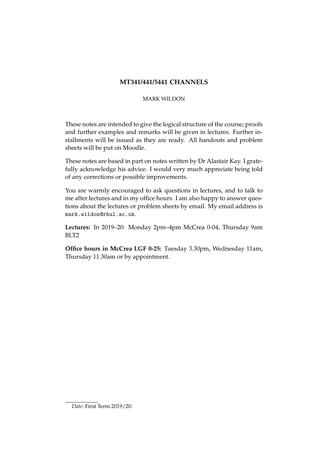# **MT341/441/5441 CHANNELS**

## MARK WILDON

These notes are intended to give the logical structure of the course; proofs and further examples and remarks will be given in lectures. Further installments will be issued as they are ready. All handouts and problem sheets will be put on Moodle.

These notes are based in part on notes written by Dr Alastair Kay. I gratefully acknowledge his advice. I would very much appreciate being told of any corrections or possible improvements.

You are warmly encouraged to ask questions in lectures, and to talk to me after lectures and in my office hours. I am also happy to answer questions about the lectures or problem sheets by email. My email address is mark.wildon@rhul.ac.uk.

**Lectures:** In 2019–20: Monday 2pm–4pm McCrea 0-04, Thursday 9am BLT2

**Office hours in McCrea LGF 0-25:** Tuesday 3.30pm, Wednesday 11am, Thursday 11.30am or by appointment.

*Date*: First Term 2019/20.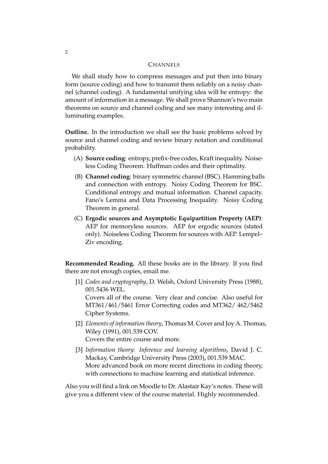### **CHANNELS**

We shall study how to compress messages and put then into binary form (source coding) and how to transmit them reliably on a noisy channel (channel coding). A fundamental unifying idea will be entropy: the amount of information in a message. We shall prove Shannon's two main theorems on source and channel coding and see many interesting and illuminating examples.

**Outline.** In the introduction we shall see the basic problems solved by source and channel coding and review binary notation and conditional probability.

- (A) **Source coding**: entropy, prefix-free codes, Kraft inequality. Noiseless Coding Theorem. Huffman codes and their optimality.
- (B) **Channel coding**: binary symmetric channel (BSC). Hamming balls and connection with entropy. Noisy Coding Theorem for BSC. Conditional entropy and mutual information. Channel capacity. Fano's Lemma and Data Processing Inequality. Noisy Coding Theorem in general.
- (C) **Ergodic sources and Asymptotic Equipartition Property (AEP)**: AEP for memoryless sources. AEP for ergodic sources (stated only). Noiseless Coding Theorem for sources with AEP. Lempel– Ziv encoding.

**Recommended Reading.** All these books are in the library. If you find there are not enough copies, email me.

[1] *Codes and cryptography*, D. Welsh, Oxford University Press (1988), 001.5436 WEL.

Covers all of the course. Very clear and concise. Also useful for MT361/461/5461 Error Correcting codes and MT362/ 462/5462 Cipher Systems.

- [2] *Elements of information theory*, Thomas M. Cover and Joy A. Thomas, Wiley (1991), 001.539 COV. Covers the entire course and more.
- [3] *Information theory: Inference and learning algorithms*, David J. C. Mackay, Cambridge University Press (2003), 001.539 MAC. More advanced book on more recent directions in coding theory, with connections to machine learning and statistical inference.

Also you will find a link on Moodle to Dr. Alastair Kay's notes. These will give you a different view of the course material. Highly recommended.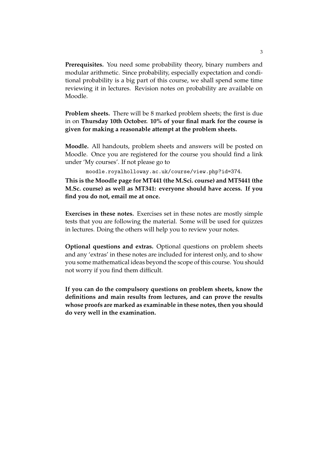**Prerequisites.** You need some probability theory, binary numbers and modular arithmetic. Since probability, especially expectation and conditional probability is a big part of this course, we shall spend some time reviewing it in lectures. Revision notes on probability are available on Moodle.

**Problem sheets.** There will be 8 marked problem sheets; the first is due in on **Thursday 10th October. 10% of your final mark for the course is given for making a reasonable attempt at the problem sheets.**

**Moodle.** All handouts, problem sheets and answers will be posted on Moodle. Once you are registered for the course you should find a link under 'My courses'. If not please go to

moodle.royalholloway.ac.uk/course/view.php?id=374.

**This is the Moodle page for MT441 (the M.Sci. course) and MT5441 (the M.Sc. course) as well as MT341: everyone should have access. If you find you do not, email me at once.**

**Exercises in these notes.** Exercises set in these notes are mostly simple tests that you are following the material. Some will be used for quizzes in lectures. Doing the others will help you to review your notes.

**Optional questions and extras.** Optional questions on problem sheets and any 'extras' in these notes are included for interest only, and to show you some mathematical ideas beyond the scope of this course. You should not worry if you find them difficult.

**If you can do the compulsory questions on problem sheets, know the definitions and main results from lectures, and can prove the results whose proofs are marked as examinable in these notes, then you should do very well in the examination.**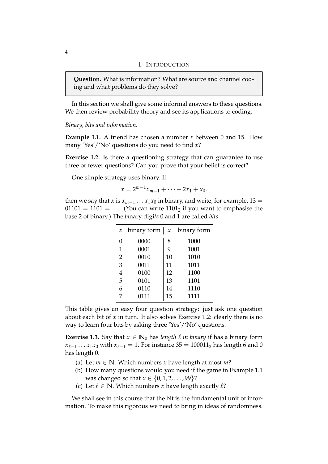#### 1. INTRODUCTION

**Question.** What is information? What are source and channel coding and what problems do they solve?

In this section we shall give some informal answers to these questions. We then review probability theory and see its applications to coding.

*Binary, bits and information.*

**Example 1.1.** A friend has chosen a number *x* between 0 and 15. How many 'Yes'/'No' questions do you need to find *x*?

**Exercise 1.2.** Is there a questioning strategy that can guarantee to use three or fewer questions? Can you prove that your belief is correct?

One simple strategy uses binary. If

$$
x = 2^{m-1}x_{m-1} + \cdots + 2x_1 + x_0.
$$

then we say that *x* is  $x_{m-1} \ldots x_1 x_0$  in binary, and write, for example, 13 = 01101 = 1101 = .... (You can write  $1101<sub>2</sub>$  if you want to emphasise the base 2 of binary.) The *bi*nary digi*ts* 0 and 1 are called *bits*.

| $\boldsymbol{\chi}$ | binary form | $\boldsymbol{\chi}$ | binary form |  |  |  |  |
|---------------------|-------------|---------------------|-------------|--|--|--|--|
|                     | 0000        | 8                   | 1000        |  |  |  |  |
| 1                   | 0001        | 9                   | 1001        |  |  |  |  |
| $\overline{2}$      | 0010        | 10                  | 1010        |  |  |  |  |
| 3                   | 0011        | 11                  | 1011        |  |  |  |  |
| 4                   | 0100        | 12                  | 1100        |  |  |  |  |
| 5                   | 0101        | 13                  | 1101        |  |  |  |  |
| 6                   | 0110        | 14                  | 1110        |  |  |  |  |
| 7                   | 0111        | 15                  | 1111        |  |  |  |  |

This table gives an easy four question strategy: just ask one question about each bit of *x* in turn. It also solves Exercise 1.2: clearly there is no way to learn four bits by asking three 'Yes'/'No' questions.

**Exercise 1.3.** Say that  $x \in \mathbb{N}_0$  has *length*  $\ell$  *in binary* if has a binary form *x*<sub>ℓ−1</sub> . . . *x*<sub>1</sub>*x*<sub>0</sub> with *x*<sub>ℓ−1</sub> = 1. For instance 35 = 100011<sub>2</sub> has length 6 and 0 has length 0.

- (a) Let  $m \in \mathbb{N}$ . Which numbers *x* have length at most *m*?
- (b) How many questions would you need if the game in Example 1.1 was changed so that  $x \in \{0, 1, 2, ..., 99\}$ ?
- (c) Let  $\ell \in \mathbb{N}$ . Which numbers *x* have length exactly  $\ell$ ?

We shall see in this course that the bit is the fundamental unit of information. To make this rigorous we need to bring in ideas of randomness.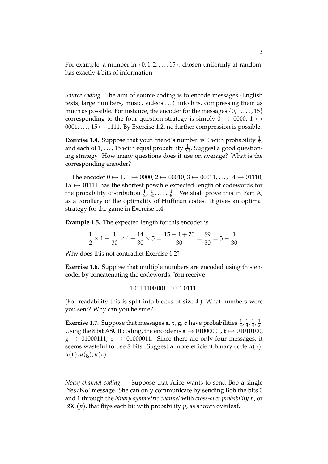For example, a number in  $\{0, 1, 2, \ldots, 15\}$ , chosen uniformly at random, has exactly 4 bits of information.

*Source coding.* The aim of source coding is to encode messages (English texts, large numbers, music, videos . . . ) into bits, compressing them as much as possible. For instance, the encoder for the messages  $\{0, 1, \ldots, 15\}$ corresponding to the four question strategy is simply  $0 \mapsto 0000$ ,  $1 \mapsto$ 0001, ...,  $15 \mapsto 1111$ . By Exercise 1.2, no further compression is possible.

**Exercise 1.4.** Suppose that your friend's number is 0 with probability  $\frac{1}{2}$ , and each of  $1, \ldots$ , 15 with equal probability  $\frac{1}{30}$ . Suggest a good questioning strategy. How many questions does it use on average? What is the corresponding encoder?

The encoder  $0 \mapsto 1$ ,  $1 \mapsto 0000$ ,  $2 \mapsto 00010$ ,  $3 \mapsto 00011$ , ...,  $14 \mapsto 01110$ ,  $15 \mapsto 01111$  has the shortest possible expected length of codewords for the probability distribution  $\frac{1}{2}, \frac{1}{30}, \ldots, \frac{1}{30}$ . We shall prove this in Part A, as a corollary of the optimality of Huffman codes. It gives an optimal strategy for the game in Exercise 1.4.

**Example 1.5.** The expected length for this encoder is

$$
\frac{1}{2} \times 1 + \frac{1}{30} \times 4 + \frac{14}{30} \times 5 = \frac{15 + 4 + 70}{30} = \frac{89}{30} = 3 - \frac{1}{30}.
$$

Why does this not contradict Exercise 1.2?

**Exercise 1.6.** Suppose that multiple numbers are encoded using this encoder by concatenating the codewords. You receive

$$
1011\,1100\,0011\,1011\,0111.
$$

(For readability this is split into blocks of size 4.) What numbers were you sent? Why can you be sure?

**Exercise 1.7.** Suppose that messages a, t, g, c have probabilities  $\frac{1}{8}$ ,  $\frac{1}{8}$  $\frac{1}{8}$ ,  $\frac{1}{4}$  $\frac{1}{4}$ ,  $\frac{1}{2}$  $rac{1}{2}$ . Using the 8 bit ASCII coding, the encoder is a  $\rightarrow$  01000001, t  $\rightarrow$  01010100,  $g \mapsto 01000111$ ,  $c \mapsto 01000011$ . Since there are only four messages, it seems wasteful to use 8 bits. Suggest a more efficient binary code *u*(a),  $u(t)$ ,  $u(g)$ ,  $u(c)$ .

*Noisy channel coding.* Suppose that Alice wants to send Bob a single 'Yes/No' message. She can only communicate by sending Bob the bits 0 and 1 through the *binary symmetric channel* with *cross-over probability p*, or  $BSC(p)$ , that flips each bit with probability p, as shown overleaf.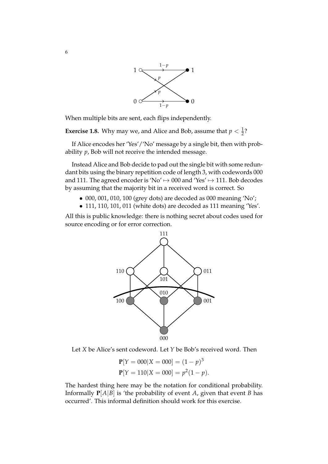

When multiple bits are sent, each flips independently.

**Exercise 1.8.** Why may we, and Alice and Bob, assume that  $p < \frac{1}{2}$ ?

If Alice encodes her 'Yes'/'No' message by a single bit, then with probability *p*, Bob will not receive the intended message.

Instead Alice and Bob decide to pad out the single bit with some redundant bits using the binary repetition code of length 3, with codewords 000 and 111. The agreed encoder is 'No'  $\rightarrow$  000 and 'Yes'  $\rightarrow$  111. Bob decodes by assuming that the majority bit in a received word is correct. So

- 000, 001, 010, 100 (grey dots) are decoded as 000 meaning 'No';
- 111, 110, 101, 011 (white dots) are decoded as 111 meaning 'Yes'.

All this is public knowledge: there is nothing secret about codes used for source encoding or for error correction.



Let *X* be Alice's sent codeword. Let *Y* be Bob's received word. Then

$$
\mathbf{P}[Y = 000|X = 000] = (1 - p)^3
$$
  

$$
\mathbf{P}[Y = 110|X = 000] = p^2(1 - p).
$$

The hardest thing here may be the notation for conditional probability. Informally  $P[A|B]$  is 'the probability of event *A*, given that event *B* has occurred'. This informal definition should work for this exercise.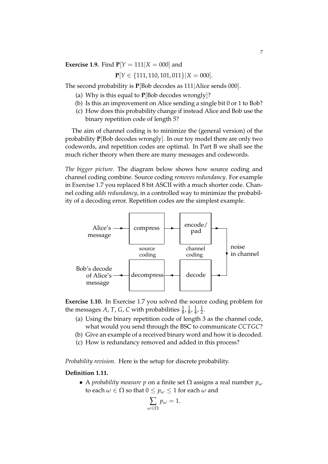**Exercise 1.9.** Find  $P[Y = 111 | X = 000]$  and

$$
\mathbf{P}[Y \in \{111, 110, 101, 011\} | X = 000].
$$

The second probability is **P**[Bob decodes as 111|Alice sends 000].

- (a) Why is this equal to **P**[Bob decodes wrongly]?
- (b) Is this an improvement on Alice sending a single bit 0 or 1 to Bob?
- (c) How does this probability change if instead Alice and Bob use the binary repetition code of length 5?

The aim of channel coding is to minimize the (general version) of the probability **P**[Bob decodes wrongly]. In our toy model there are only two codewords, and repetition codes are optimal. In Part B we shall see the much richer theory when there are many messages and codewords.

*The bigger picture.* The diagram below shows how source coding and channel coding combine. Source coding *removes redundancy*. For example in Exercise 1.7 you replaced 8 bit ASCII with a much shorter code. Channel coding *adds redundancy*, in a controlled way to minimize the probability of a decoding error. Repetition codes are the simplest example.



**Exercise 1.10.** In Exercise 1.7 you solved the source coding problem for the messages *A*, *T*, *G*, *C* with probabilities  $\frac{1}{8}$ ,  $\frac{1}{8}$  $\frac{1}{8}$ ,  $\frac{1}{4}$  $\frac{1}{4}$ ,  $\frac{1}{2}$  $rac{1}{2}$ .

- (a) Using the binary repetition code of length 3 as the channel code, what would you send through the BSC to communicate *CCTGC*?
- (b) Give an example of a received binary word and how it is decoded.
- (c) How is redundancy removed and added in this process?

*Probability revision.* Here is the setup for discrete probability.

## **Definition 1.11.**

• A *probability measure p* on a finite set Ω assigns a real number *p<sup>ω</sup>* to each  $\omega \in \Omega$  so that  $0 \leq p_{\omega} \leq 1$  for each  $\omega$  and

$$
\sum_{\omega \in \Omega} p_{\omega} = 1.
$$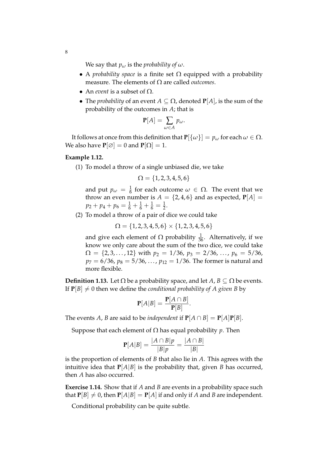We say that  $p_\omega$  is the *probability of*  $\omega$ .

- A *probability space* is a finite set  $\Omega$  equipped with a probability measure. The elements of Ω are called *outcomes*.
- An *event* is a subset of  $\Omega$ .
- The *probability* of an event  $A \subseteq \Omega$ , denoted  $P[A]$ , is the sum of the probability of the outcomes in *A*; that is

$$
\mathbf{P}[A] = \sum_{\omega \in A} p_{\omega}.
$$

It follows at once from this definition that  $P[\{\omega\}] = p_{\omega}$  for each  $\omega \in \Omega$ . We also have  $P[\emptyset] = 0$  and  $P[\Omega] = 1$ .

## **Example 1.12.**

(1) To model a throw of a single unbiased die, we take

$$
\Omega = \{1, 2, 3, 4, 5, 6\}
$$

and put  $p_{\omega} = \frac{1}{6}$  for each outcome  $\omega \in \Omega$ . The event that we throw an even number is  $A = \{2, 4, 6\}$  and as expected,  $P[A]$  $p_2 + p_4 + p_6 = \frac{1}{6} + \frac{1}{6} + \frac{1}{6} = \frac{1}{2}.$ 

(2) To model a throw of a pair of dice we could take

$$
\Omega = \{1, 2, 3, 4, 5, 6\} \times \{1, 2, 3, 4, 5, 6\}
$$

and give each element of  $\Omega$  probability  $\frac{1}{36}$ . Alternatively, if we know we only care about the sum of the two dice, we could take  $\Omega = \{2, 3, \ldots, 12\}$  with  $p_2 = 1/36$ ,  $p_3 = 2/36$ , ...,  $p_6 = 5/36$ ,  $p_7 = 6/36$ ,  $p_8 = 5/36$ , ...,  $p_{12} = 1/36$ . The former is natural and more flexible.

**Definition 1.13.** Let  $\Omega$  be a probability space, and let  $A, B \subseteq \Omega$  be events. If  $P[B] \neq 0$  then we define the *conditional probability of A given B* by

$$
\mathbf{P}[A|B] = \frac{\mathbf{P}[A \cap B]}{\mathbf{P}[B]}.
$$

The events *A*, *B* are said to be *independent* if  $P[A \cap B] = P[A]P[B]$ .

Suppose that each element of  $\Omega$  has equal probability *p*. Then

$$
\mathbf{P}[A|B] = \frac{|A \cap B|p}{|B|p} = \frac{|A \cap B|}{|B|}
$$

is the proportion of elements of *B* that also lie in *A*. This agrees with the intuitive idea that  $P[A|B]$  is the probability that, given *B* has occurred, then *A* has also occurred.

**Exercise 1.14.** Show that if *A* and *B* are events in a probability space such that  $P[B] \neq 0$ , then  $P[A|B] = P[A]$  if and only if *A* and *B* are independent.

Conditional probability can be quite subtle.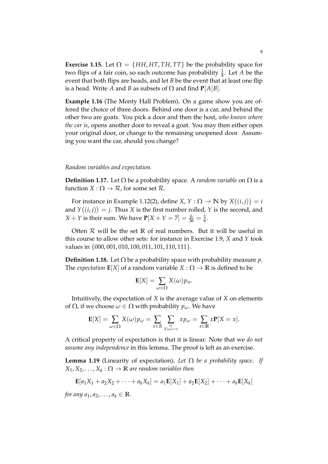**Exercise 1.15.** Let  $\Omega = \{HH, HT, TH, TT\}$  be the probability space for two flips of a fair coin, so each outcome has probability  $\frac{1}{4}$ . Let *A* be the event that both flips are heads, and let *B* be the event that at least one flip is a head. Write *A* and *B* as subsets of  $\Omega$  and find  $P[A|B]$ .

**Example 1.16** (The Monty Hall Problem)**.** On a game show you are offered the choice of three doors. Behind one door is a car, and behind the other two are goats. You pick a door and then the host, *who knows where the car is*, opens another door to reveal a goat. You may then either open your original door, or change to the remaining unopened door. Assuming you want the car, should you change?

#### *Random variables and expectation.*

**Definition 1.17.** Let  $\Omega$  be a probability space. A *random variable* on  $\Omega$  is a function *X* :  $\Omega \rightarrow \mathcal{R}$ , for some set  $\mathcal{R}$ .

For instance in Example 1.12(2), define *X*, *Y* :  $\Omega \rightarrow \mathbb{N}$  by *X*((*i*, *j*)) = *i* and  $Y((i, j)) = j$ . Thus *X* is the first number rolled, *Y* is the second, and *X* + *Y* is their sum. We have  $P[X + Y = 7] = \frac{6}{36} = \frac{1}{6}$ .

Often R will be the set **R** of real numbers. But it will be useful in this course to allow other sets: for instance in Exercise 1.9, *X* and *Y* took values in  $\{000, 001, 010, 100, 011, 101, 110, 111\}.$ 

**Definition 1.18.** Let  $\Omega$  be a probability space with probability measure *p*. The *expectation*  $\mathbf{E}[X]$  of a random variable  $X : \Omega \to \mathbb{R}$  is defined to be

$$
\mathbf{E}[X] = \sum_{\omega \in \Omega} X(\omega) p_{w}.
$$

Intuitively, the expectation of *X* is the average value of *X* on elements of  $\Omega$ , if we choose  $\omega \in \Omega$  with probability  $p_{\omega}$ . We have

$$
\mathbf{E}[X] = \sum_{\omega \in \Omega} X(\omega) p_{\omega} = \sum_{x \in R} \sum_{\substack{\omega \\ X(\omega) = x}} x p_{\omega} = \sum_{x \in \mathbb{R}} x \mathbf{P}[X = x].
$$

A critical property of expectation is that it is linear. Note that we *do not assume any independence* in this lemma. The proof is left as an exercise.

**Lemma 1.19** (Linearity of expectation)**.** *Let* Ω *be a probability space. If*  $X_1, X_2, \ldots, X_k: \Omega \to \mathbb{R}$  are random variables then

$$
\mathbf{E}[a_1X_1 + a_2X_2 + \cdots + a_kX_k] = a_1\mathbf{E}[X_1] + a_2\mathbf{E}[X_2] + \cdots + a_k\mathbf{E}[X_k]
$$

*for any*  $a_1, a_2, \ldots, a_k \in \mathbb{R}$ *.*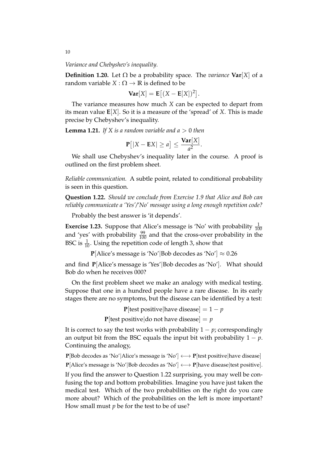*Variance and Chebyshev's inequality.*

**Definition 1.20.** Let  $Ω$  be a probability space. The *variance* **Var**[*X*] of a random variable  $X : \Omega \to \mathbb{R}$  is defined to be

$$
\mathbf{Var}[X] = \mathbf{E}[(X - \mathbf{E}[X])^2].
$$

The variance measures how much *X* can be expected to depart from its mean value **E**[*X*]. So it is a measure of the 'spread' of *X*. This is made precise by Chebyshev's inequality.

**Lemma 1.21.** If X is a random variable and  $a > 0$  then

$$
\mathbf{P}[|X - \mathbf{E}X| \ge a] \le \frac{\mathbf{Var}[X]}{a^2}.
$$

We shall use Chebyshev's inequality later in the course. A proof is outlined on the first problem sheet.

*Reliable communication.* A subtle point, related to conditional probability is seen in this question.

**Question 1.22.** *Should we conclude from Exercise 1.9 that Alice and Bob can reliably communicate a 'Yes'/'No' message using a long enough repetition code?*

Probably the best answer is 'it depends'.

**Exercise 1.23.** Suppose that Alice's message is 'No' with probability  $\frac{1}{100}$ and 'yes' with probability  $\frac{99}{100}$  and that the cross-over probability in the BSC is  $\frac{1}{10}$ . Using the repetition code of length 3, show that

**P**[Alice's message is 'No'|Bob decodes as 'No'|  $\approx 0.26$ 

and find **P**[Alice's message is 'Yes'|Bob decodes as 'No']. What should Bob do when he receives 000?

On the first problem sheet we make an analogy with medical testing. Suppose that one in a hundred people have a rare disease. In its early stages there are no symptoms, but the disease can be identified by a test:

> **P**[test positive|have disease] =  $1 - p$ **P**[test positive]do not have disease] =  $p$

It is correct to say the test works with probability  $1 - p$ ; correspondingly an output bit from the BSC equals the input bit with probability  $1 - p$ . Continuing the analogy,

**<sup>P</sup>**[Bob decodes as 'No'|Alice's message is 'No'] ←→ **<sup>P</sup>**[test positive|have disease] **<sup>P</sup>**[Alice's message is 'No'|Bob decodes as 'No'] ←→ **<sup>P</sup>**[have disease|test positive].

If you find the answer to Question 1.22 surprising, you may well be confusing the top and bottom probabilities. Imagine you have just taken the medical test. Which of the two probabilities on the right do you care more about? Which of the probabilities on the left is more important? How small must *p* be for the test to be of use?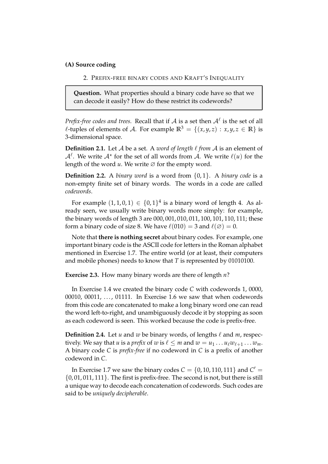## **(A) Source coding**

2. PREFIX-FREE BINARY CODES AND KRAFT'S INEQUALITY

**Question.** What properties should a binary code have so that we can decode it easily? How do these restrict its codewords?

*Prefix-free codes and trees.* Recall that if  $A$  is a set then  $A^{\ell}$  is the set of all  $\ell$ -tuples of elements of A. For example  $\mathbb{R}^3 = \{(x, y, z) : x, y, z \in \mathbb{R}\}\$ is 3-dimensional space.

**Definition 2.1.** Let  $A$  be a set. A *word of length*  $\ell$  *from*  $A$  is an element of  $\mathcal{A}^{\ell}$ . We write  $\mathcal{A}^{\star}$  for the set of all words from  $\mathcal{A}$ . We write  $\ell(u)$  for the length of the word  $u$ . We write  $\varnothing$  for the empty word.

**Definition 2.2.** A *binary word* is a word from {0, 1}. A *binary code* is a non-empty finite set of binary words. The words in a code are called *codewords*.

For example  $(1,1,0,1) \in \{0,1\}^4$  is a binary word of length 4. As already seen, we usually write binary words more simply: for example, the binary words of length 3 are 000, 001, 010, 011, 100, 101, 110, 111; these form a binary code of size 8. We have  $\ell(010) = 3$  and  $\ell(\emptyset) = 0$ .

Note that **there is nothing secret** about binary codes. For example, one important binary code is the ASCII code for letters in the Roman alphabet mentioned in Exercise 1.7. The entire world (or at least, their computers and mobile phones) needs to know that *T* is represented by 01010100.

**Exercise 2.3.** How many binary words are there of length *n*?

In Exercise 1.4 we created the binary code *C* with codewords 1, 0000, 00010, 00011, ..., 01111. In Exercise 1.6 we saw that when codewords from this code are concatenated to make a long binary word one can read the word left-to-right, and unambiguously decode it by stopping as soon as each codeword is seen. This worked because the code is prefix-free.

**Definition 2.4.** Let *u* and *w* be binary words, of lengths  $\ell$  and *m*, respectively. We say that *u* is a *prefix* of *w* is  $\ell \leq m$  and  $w = u_1 \dots u_\ell w_{\ell+1} \dots w_m$ . A binary code *C* is *prefix-free* if no codeword in *C* is a prefix of another codeword in *C*.

In Exercise 1.7 we saw the binary codes  $C = \{0, 10, 110, 111\}$  and  $C' =$ {0, 01, 011, 111}. The first is prefix-free. The second is not, but there is still a unique way to decode each concatenation of codewords. Such codes are said to be *uniquely decipherable*.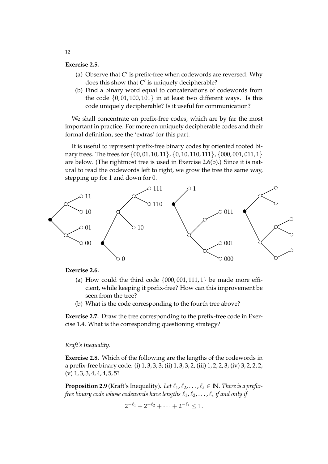### **Exercise 2.5.**

- (a) Observe that  $C'$  is prefix-free when codewords are reversed. Why does this show that *C'* is uniquely decipherable?
- (b) Find a binary word equal to concatenations of codewords from the code  $\{0, 01, 100, 101\}$  in at least two different ways. Is this code uniquely decipherable? Is it useful for communication?

We shall concentrate on prefix-free codes, which are by far the most important in practice. For more on uniquely decipherable codes and their formal definition, see the 'extras' for this part.

It is useful to represent prefix-free binary codes by oriented rooted binary trees. The trees for  $\{00, 01, 10, 11\}$ ,  $\{0, 10, 110, 111\}$ ,  $\{000, 001, 011, 1\}$ are below. (The rightmost tree is used in Exercise 2.6(b).) Since it is natural to read the codewords left to right, we grow the tree the same way, stepping up for 1 and down for 0.



### **Exercise 2.6.**

- (a) How could the third code  $\{000, 001, 111, 1\}$  be made more efficient, while keeping it prefix-free? How can this improvement be seen from the tree?
- (b) What is the code corresponding to the fourth tree above?

**Exercise 2.7.** Draw the tree corresponding to the prefix-free code in Exercise 1.4. What is the corresponding questioning strategy?

#### *Kraft's Inequality.*

**Exercise 2.8.** Which of the following are the lengths of the codewords in a prefix-free binary code: (i) 1, 3, 3, 3; (ii) 1, 3, 3, 2, (iii) 1, 2, 2, 3; (iv) 3, 2, 2, 2;  $(v)$  1, 3, 3, 4, 4, 4, 5, 5?

**Proposition 2.9** (Kraft's Inequality). Let  $\ell_1, \ell_2, \ldots, \ell_s \in \mathbb{N}$ . There is a prefixfree binary code whose codewords have lengths  $\ell_1, \ell_2, \ldots, \ell_s$  if and only if

$$
2^{-\ell_1}+2^{-\ell_2}+\cdots+2^{-\ell_s}\leq 1.
$$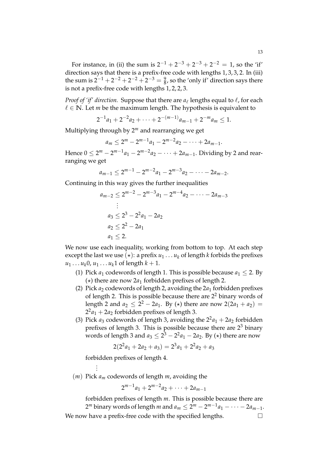For instance, in (ii) the sum is  $2^{-1} + 2^{-3} + 2^{-3} + 2^{-2} = 1$ , so the 'if' direction says that there is a prefix-free code with lengths 1, 3, 3, 2. In (iii) the sum is  $2^{-1} + 2^{-2} + 2^{-2} + 2^{-3} = \frac{9}{8}$ , so the 'only if' direction says there is not a prefix-free code with lengths 1, 2, 2, 3.

*Proof of 'if' direction.* Suppose that there are  $a_\ell$  lengths equal to  $\ell$ , for each  $\ell \in \mathbb{N}$ . Let *m* be the maximum length. The hypothesis is equivalent to

$$
2^{-1}a_1 + 2^{-2}a_2 + \cdots + 2^{-(m-1)}a_{m-1} + 2^{-m}a_m \le 1.
$$

Multiplying through by 2*<sup>m</sup>* and rearranging we get

 $a_m \leq 2^m - 2^{m-1}a_1 - 2^{m-2}a_2 - \cdots + 2a_{m-1}.$ 

Hence  $0 ≤ 2<sup>m</sup> − 2<sup>m-1</sup>a<sub>1</sub> − 2<sup>m-2</sup>a<sub>2</sub> − · · · + 2a<sub>m-1</sub>$ . Dividing by 2 and rearranging we get

$$
a_{m-1} \leq 2^{m-1} - 2^{m-2}a_1 - 2^{m-3}a_2 - \cdots - 2a_{m-2}.
$$

Continuing in this way gives the further inequalities

$$
a_{m-2} \le 2^{m-2} - 2^{m-3}a_1 - 2^{m-4}a_2 - \dots - 2a_{m-3}
$$
  
\n
$$
\vdots
$$
  
\n
$$
a_3 \le 2^3 - 2^2a_1 - 2a_2
$$
  
\n
$$
a_2 \le 2^2 - 2a_1
$$
  
\n
$$
a_1 \le 2.
$$

We now use each inequality, working from bottom to top. At each step except the last we use  $(\star)$ : a prefix  $u_1 \ldots u_k$  of length *k* forbids the prefixes  $u_1 \ldots u_k 0, u_1 \ldots u_k 1$  of length  $k + 1$ .

- (1) Pick  $a_1$  codewords of length 1. This is possible because  $a_1 \leq 2$ . By  $(\star)$  there are now 2*a*<sub>1</sub> forbidden prefixes of length 2.
- (2) Pick  $a_2$  codewords of length 2, avoiding the  $2a_1$  forbidden prefixes of length 2. This is possible because there are  $2<sup>2</sup>$  binary words of length 2 and  $a_2 \le 2^2 - 2a_1$ . By (\*) there are now  $2(2a_1 + a_2) =$  $2^2a_1 + 2a_2$  forbidden prefixes of length 3.
- (3) Pick  $a_3$  codewords of length 3, avoiding the  $2^2a_1 + 2a_2$  forbidden prefixes of length 3. This is possible because there are 2<sup>3</sup> binary words of length 3 and  $a_3 \leq 2^3 - 2^2 a_1 - 2 a_2$ . By  $(\star)$  there are now

$$
2(22a1 + 2a2 + a3) = 23a1 + 22a2 + a3
$$

forbidden prefixes of length 4. .

. .

(*m*) Pick *a<sup>m</sup>* codewords of length *m*, avoiding the

$$
2^{m-1}a_1 + 2^{m-2}a_2 + \cdots + 2a_{m-1}
$$

forbidden prefixes of length *m*. This is possible because there are  $2^m$  binary words of length *m* and  $a_m \leq 2^m - 2^{m-1}a_1 - \cdots - 2a_{m-1}$ . We now have a prefix-free code with the specified lengths.  $\Box$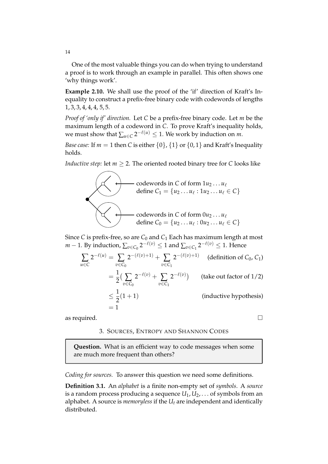One of the most valuable things you can do when trying to understand a proof is to work through an example in parallel. This often shows one 'why things work'.

**Example 2.10.** We shall use the proof of the 'if' direction of Kraft's Inequality to construct a prefix-free binary code with codewords of lengths 1, 3, 3, 4, 4, 4, 5, 5.

*Proof of 'only if' direction.* Let *C* be a prefix-free binary code. Let *m* be the maximum length of a codeword in *C*. To prove Kraft's inequality holds, we must show that  $\sum_{u \in C} 2^{-\ell(u)} \leq 1$ . We work by induction on *m*.

*Base case:* If  $m = 1$  then *C* is either  $\{0\}$ ,  $\{1\}$  or  $\{0, 1\}$  and Kraft's Inequality holds.

*Inductive step:* let  $m \geq 2$ . The oriented rooted binary tree for *C* looks like



Since *C* is prefix-free, so are *C*<sub>0</sub> and *C*<sub>1</sub> Each has maximum length at most *m* − 1. By induction,  $\sum_{v \in C_0} 2^{-\ell(v)} \le 1$  and  $\sum_{v \in C_1} 2^{-\ell(v)} \le 1$ . Hence

$$
\sum_{u \in C} 2^{-\ell(u)} = \sum_{v \in C_0} 2^{-(\ell(v)+1)} + \sum_{v \in C_1} 2^{-(\ell(v)+1)}
$$
 (definition of *C*<sub>0</sub>, *C*<sub>1</sub>)  
\n
$$
= \frac{1}{2} \Big( \sum_{v \in C_0} 2^{-\ell(v)} + \sum_{v \in C_1} 2^{-\ell(v)} \Big)
$$
 (take out factor of 1/2)  
\n
$$
\leq \frac{1}{2} (1+1)
$$
 (inductive hypothesis)  
\n
$$
= 1
$$

as required.  $\Box$ 

## 3. SOURCES, ENTROPY AND SHANNON CODES

**Question.** What is an efficient way to code messages when some are much more frequent than others?

*Coding for sources.* To answer this question we need some definitions.

**Definition 3.1.** An *alphabet* is a finite non-empty set of *symbols*. A *source* is a random process producing a sequence *U*1, *U*2, . . . of symbols from an alphabet. A source is *memoryless* if the *U<sup>t</sup>* are independent and identically distributed.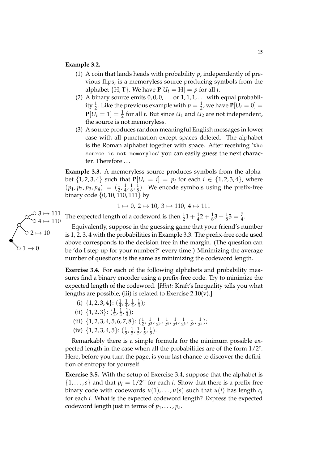#### **Example 3.2.**

- (1) A coin that lands heads with probability *p*, independently of previous flips, is a memoryless source producing symbols from the alphabet  ${H, T}$ . We have  $P[U_t = H] = p$  for all *t*.
- (2) A binary source emits  $0, 0, 0, \ldots$  or  $1, 1, 1, \ldots$  with equal probability  $\frac{1}{2}$ . Like the previous example with  $p = \frac{1}{2}$ , we have  $\mathbf{P}[U_t = 0] =$  $P[U_t = 1] = \frac{1}{2}$  for all *t*. But since  $U_1$  and  $U_2$  are not independent, the source is not memoryless.
- (3) A source produces random meaningful English messages in lower case with all punctuation except spaces deleted. The alphabet is the Roman alphabet together with space. After receiving 'the source is not memoryles' you can easily guess the next character. Therefore . . .

**Example 3.3.** A memoryless source produces symbols from the alphabet  $\{1, 2, 3, 4\}$  such that  $P[U_t = i] = p_i$  for each  $i \in \{1, 2, 3, 4\}$ , where  $(p_1, p_2, p_3, p_4) = (\frac{1}{2}, \frac{1}{4})$  $\frac{1}{4}$ ,  $\frac{1}{8}$  $\frac{1}{8}$ ,  $\frac{1}{8}$  $\frac{1}{8}$ ). We encode symbols using the prefix-free binary code {0, 10, 110, 111} by

$$
1\mapsto 0,\, 2\mapsto 10,\, 3\mapsto 110,\, 4\mapsto 111
$$

The expected length of a codeword is then  $\frac{1}{2}1 + \frac{1}{4}2 + \frac{1}{8}3 + \frac{1}{8}3 = \frac{7}{4}$ .

Equivalently, suppose in the guessing game that your friend's number is 1, 2, 3, 4 with the probabilities in Example 3.3. The prefix-free code used above corresponds to the decision tree in the margin. (The question can be 'do I step up for your number?' every time!) Minimizing the average number of questions is the same as minimizing the codeword length.

**Exercise 3.4.** For each of the following alphabets and probability measures find a binary encoder using a prefix-free code. Try to minimize the expected length of the codeword. [*Hint:* Kraft's Inequality tells you what lengths are possible; (iii) is related to Exercise  $2.10(v)$ .]

- (i)  $\{1, 2, 3, 4\}$ :  $\left(\frac{1}{4}\right)$  $\frac{1}{4}$ ,  $\frac{1}{4}$  $\frac{1}{4}$ ,  $\frac{1}{4}$  $\frac{1}{4}$ ,  $\frac{1}{4}$  $(\frac{1}{4})$ ;
- (ii)  $\{1, 2, 3\}$ :  $(\frac{1}{2})$  $\frac{1}{2}$ ,  $\frac{1}{4}$  $\frac{1}{4}$ ,  $\frac{1}{4}$  $\frac{1}{4}$ );
- (iii)  $\{1, 2, 3, 4, 5, 6, 7, 8\}$ :  $(\frac{1}{2})$  $\frac{1}{2}$ ,  $\frac{1}{2^3}$  $\frac{1}{2^3}$ ,  $\frac{1}{2^3}$  $\frac{1}{2^3}, \frac{1}{2^4}$  $\frac{1}{2^4}$ ,  $\frac{1}{2^4}$  $\frac{1}{2^4}$ ,  $\frac{1}{2^4}$  $\frac{1}{2^4}$ ,  $\frac{1}{2^5}$  $\frac{1}{2^5}$ ,  $\frac{1}{2^5}$  $(\frac{1}{2^5})$ ;
- (iv)  $\{1, 2, 3, 4, 5\}$ :  $\left(\frac{1}{5}\right)$  $\frac{1}{5}$ ,  $\frac{1}{5}$  $\frac{1}{5}$ ,  $\frac{1}{5}$  $\frac{1}{5}$ ,  $\frac{1}{5}$  $\frac{1}{5}$ ,  $\frac{1}{5}$  $\frac{1}{5}$ ).

Remarkably there is a simple formula for the minimum possible expected length in the case when all the probabilities are of the form 1/2*<sup>c</sup>* . Here, before you turn the page, is your last chance to discover the definition of entropy for yourself.

**Exercise 3.5.** With the setup of Exercise 3.4, suppose that the alphabet is  $\{1,\ldots,s\}$  and that  $p_i = 1/2^{c_i}$  for each *i*. Show that there is a prefix-free binary code with codewords  $u(1), \ldots, u(s)$  such that  $u(i)$  has length  $c_i$ for each *i*. What is the expected codeword length? Express the expected codeword length just in terms of  $p_1, \ldots, p_s$ .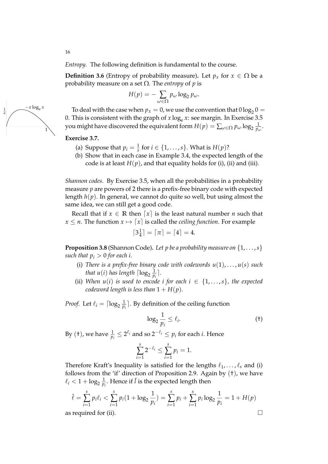*Entropy.* The following definition is fundamental to the course.

**Definition 3.6** (Entropy of probability measure). Let  $p_x$  for  $x \in \Omega$  be a probability measure on a set Ω. The *entropy* of *p* is

$$
H(p)=-\sum_{\omega\in\Omega}p_{\omega}\log_2 p_{\omega}.
$$

To deal with the case when  $p_x=0$ , we use the convention that  $0\log_2 0=$ 0. This is consistent with the graph of  $x \log_e x$ : see margin. In Exercise 3.5 you might have discovered the equivalent form  $H(p) = \sum_{\omega \in \Omega} p_\omega \log_2 \frac{1}{p_\omega}$  $\frac{1}{p_\omega}.$ 

### **Exercise 3.7.**

- (a) Suppose that  $p_i = \frac{1}{s}$  for  $i \in \{1, \ldots, s\}$ . What is  $H(p)$ ?
- (b) Show that in each case in Example 3.4, the expected length of the code is at least  $H(p)$ , and that equality holds for (i), (ii) and (iii).

*Shannon codes.* By Exercise 3.5, when all the probabilities in a probability measure *p* are powers of 2 there is a prefix-free binary code with expected length *h*(*p*). In general, we cannot do quite so well, but using almost the same idea, we can still get a good code.

Recall that if  $x \in \mathbb{R}$  then  $\lceil x \rceil$  is the least natural number *n* such that  $x \leq n$ . The function  $x \mapsto [x]$  is called the *ceiling function*. For example

$$
\lceil 3\frac{1}{4}\rceil = \lceil \pi \rceil = \lceil 4 \rceil = 4.
$$

**Proposition 3.8** (Shannon Code). Let p be a probability measure on  $\{1, \ldots, s\}$ *such that*  $p_i > 0$  *for each i.* 

- (i) *There is a prefix-free binary code with codewords*  $u(1), \ldots, u(s)$  *such* that  $u(i)$  has length  $\lceil \log_2\frac{1}{p} \rceil$  $\frac{1}{p_i}$ .
- (ii) *When*  $u(i)$  *is used to encode i for each*  $i \in \{1, \ldots, s\}$ *, the expected codeword length is less than*  $1 + H(p)$ *.*

*Proof.* Let  $\ell_i = \lceil \log_2 \frac{1}{p} \rceil$  $\frac{1}{p_i}$ ]. By definition of the ceiling function

$$
\log_2 \frac{1}{p_i} \le \ell_i. \tag{†}
$$

By (†), we have  $\frac{1}{p_i} \leq 2^{\ell_i}$  and so  $2^{-\ell_i} \leq p_i$  for each *i*. Hence

$$
\sum_{i=1}^{s} 2^{-\ell_i} \le \sum_{i=1}^{s} p_i = 1.
$$

Therefore Kraft's Inequality is satisfied for the lengths  $\ell_1, \ldots, \ell_s$  and (i) follows from the 'if' direction of Proposition 2.9. Again by (†), we have  $\ell_i < 1 + \log_2 \frac{1}{p_i}$  $\frac{1}{p_i}$ . Hence if  $\bar{l}$  is the expected length then

$$
\bar{\ell} = \sum_{i=1}^{s} p_i \ell_i < \sum_{i=1}^{s} p_i (1 + \log_2 \frac{1}{p_i}) = \sum_{i=1}^{s} p_i + \sum_{i=1}^{s} p_i \log_2 \frac{1}{p_i} = 1 + H(p)
$$
\nas required for (ii).

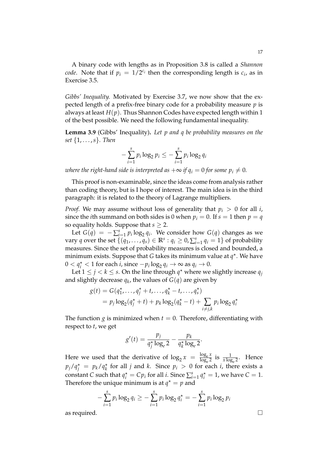A binary code with lengths as in Proposition 3.8 is called a *Shannon code*. Note that if  $p_i = 1/2^{c_i}$  then the corresponding length is  $c_i$ , as in Exercise 3.5.

*Gibbs' Inequality.* Motivated by Exercise 3.7, we now show that the expected length of a prefix-free binary code for a probability measure *p* is always at least *H*(*p*). Thus Shannon Codes have expected length within 1 of the best possible. We need the following fundamental inequality.

**Lemma 3.9** (Gibbs' Inequality)**.** *Let p and q be probability measures on the set* {1, . . . ,*s*}*. Then*

$$
-\sum_{i=1}^s p_i \log_2 p_i \leq -\sum_{i=1}^s p_i \log_2 q_i
$$

*where the right-hand side is interpreted as*  $+\infty$  *if*  $q_i = 0$  *for some*  $p_i \neq 0$ *.* 

This proof is non-examinable, since the ideas come from analysis rather than coding theory, but is I hope of interest. The main idea is in the third paragraph: it is related to the theory of Lagrange multipliers.

*Proof.* We may assume without loss of generality that  $p_i > 0$  for all *i*, since the *i*th summand on both sides is 0 when  $p_i = 0$ . If  $s = 1$  then  $p = q$ so equality holds. Suppose that  $s \geq 2$ .

Let  $G(q) = -\sum_{i=1}^{s} p_i \log_2 q_i$ . We consider how  $G(q)$  changes as we vary *q* over the set  $\{(q_1, \ldots, q_s) \in \mathbb{R}^s : q_i \ge 0, \sum_{i=1}^s q_i = 1\}$  of probability measures. Since the set of probability measures is closed and bounded, a minimum exists. Suppose that *G* takes its minimum value at  $q^*$ . We have 0 <  $q_i^*$  < 1 for each *i*, since  $-p_i \log_2 q_i \rightarrow ∞$  as  $q_i \rightarrow 0$ .

Let  $1 \leq j < k \leq s$ . On the line through  $q^*$  where we slightly increase  $q_j$ and slightly decrease  $q_k$ , the values of  $G(q)$  are given by

$$
g(t) = G(q_1^* , \dots, q_j^* + t, \dots, q_k^* - t, \dots, q_s^*)
$$
  
=  $p_j \log_2(q_j^* + t) + p_k \log_2(q_k^* - t) + \sum_{i \neq j,k} p_i \log_2 q_i^*$ 

The function *g* is minimized when  $t = 0$ . Therefore, differentiating with respect to *t*, we get

$$
g'(t) = \frac{p_j}{q_j^{\star} \log_e 2} - \frac{p_k}{q_k^{\star} \log_e 2}.
$$

Here we used that the derivative of  $\log_2 x = \frac{\log_e x}{\log_e 2}$  $\frac{\log_e x}{\log_e 2}$  is  $\frac{1}{x \log_e 2}$ . Hence  $p_j/q_j^* = p_k/q_k^*$  for all *j* and *k*. Since  $p_i > 0$  for each *i*, there exists a constant *C* such that  $q_i^* = Cp_i$  for all *i*. Since  $\sum_{i=1}^s q_i^* = 1$ , we have  $C = 1$ . Therefore the unique minimum is at  $q^* = p$  and

$$
-\sum_{i=1}^{s} p_i \log_2 q_i \geq -\sum_{i=1}^{s} p_i \log_2 q_i^* = -\sum_{i=1}^{s} p_i \log_2 p_i
$$

as required.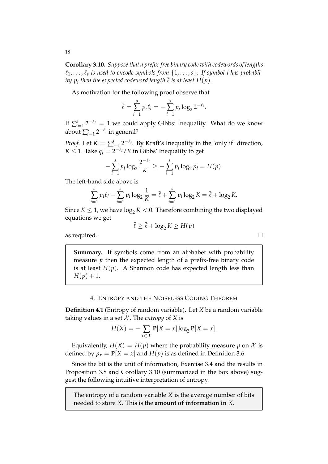**Corollary 3.10.** *Suppose that a prefix-free binary code with codewords of lengths*  $\ell_1, \ldots, \ell_s$  is used to encode symbols from  $\{1, \ldots, s\}$ . If symbol i has probabil*ity*  $p_i$  *then the expected codeword length*  $\overline{\ell}$  *is at least*  $H(p).$ 

As motivation for the following proof observe that

$$
\bar{\ell} = \sum_{i=1}^{s} p_i \ell_i = -\sum_{i=1}^{s} p_i \log_2 2^{-\ell_i}.
$$

If  $\sum_{i=1}^s 2^{-\ell_i} = 1$  we could apply Gibbs' Inequality. What do we know about  $\sum_{i=1}^s 2^{-\ell_i}$  in general?

*Proof.* Let  $K = \sum_{i=1}^{s} 2^{-\ell_i}$ . By Kraft's Inequality in the 'only if' direction,  $K \leq 1$ . Take  $q_i = 2^{-\ell_i}/K$  in Gibbs' Inequality to get

$$
-\sum_{i=1}^s p_i \log_2 \frac{2^{-\ell_i}}{K} \geq -\sum_{i=1}^s p_i \log_2 p_i = H(p).
$$

The left-hand side above is

$$
\sum_{i=1}^{s} p_i \ell_i - \sum_{i=1}^{s} p_i \log_2 \frac{1}{K} = \overline{\ell} + \sum_{i=1}^{s} p_i \log_2 K = \overline{\ell} + \log_2 K.
$$

Since  $K \leq 1$ , we have  $\log_2 K < 0$ . Therefore combining the two displayed equations we get

$$
\overline{\ell} \ge \overline{\ell} + \log_2 K \ge H(p)
$$

as required.  $\Box$ 

**Summary.** If symbols come from an alphabet with probability measure *p* then the expected length of a prefix-free binary code is at least  $H(p)$ . A Shannon code has expected length less than  $H(p) + 1.$ 

#### 4. ENTROPY AND THE NOISELESS CODING THEOREM

**Definition 4.1** (Entropy of random variable)**.** Let *X* be a random variable taking values in a set  $X$ . The *entropy* of  $X$  is

$$
H(X) = -\sum_{x \in \mathcal{X}} \mathbf{P}[X = x] \log_2 \mathbf{P}[X = x].
$$

Equivalently,  $H(X) = H(p)$  where the probability measure p on X is defined by  $p_x = P[X = x]$  and  $H(p)$  is as defined in Definition 3.6.

Since the bit is the unit of information, Exercise 3.4 and the results in Proposition 3.8 and Corollary 3.10 (summarized in the box above) suggest the following intuitive interpretation of entropy.

The entropy of a random variable *X* is the average number of bits needed to store *X*. This is the **amount of information in** *X*.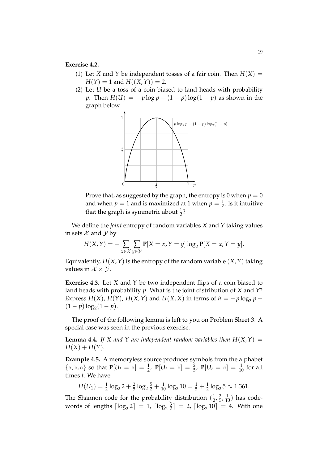#### **Exercise 4.2.**

- (1) Let *X* and *Y* be independent tosses of a fair coin. Then  $H(X) =$  $H(Y) = 1$  and  $H((X, Y)) = 2$ .
- (2) Let *U* be a toss of a coin biased to land heads with probability *p*. Then  $H(U) = -p \log p - (1 - p) \log(1 - p)$  as shown in the graph below.



Prove that, as suggested by the graph, the entropy is 0 when  $p = 0$ and when  $p = 1$  and is maximized at 1 when  $p = \frac{1}{2}$ . Is it intuitive that the graph is symmetric about  $\frac{1}{2}$ ?

We define the *joint* entropy of random variables *X* and *Y* taking values in sets  $\mathcal X$  and  $\mathcal Y$  by

 $H(X,Y) = -\sum$ *x*∈X ∑ *y*∈Y  $P[X = x, Y = y] \log_2 P[X = x, Y = y].$ 

Equivalently, *H*(*X*,*Y*) is the entropy of the random variable (*X*,*Y*) taking values in  $\mathcal{X} \times \mathcal{Y}$ .

**Exercise 4.3.** Let *X* and *Y* be two independent flips of a coin biased to land heads with probability *p*. What is the joint distribution of *X* and *Y*? Express *H*(*X*), *H*(*Y*), *H*(*X*, *Y*) and *H*(*X*, *X*) in terms of *h* = −*p* log<sub>2</sub> *p* −  $(1-p)\log_2(1-p)$ .

The proof of the following lemma is left to you on Problem Sheet 3. A special case was seen in the previous exercise.

**Lemma 4.4.** *If X* and *Y* are independent random variables then  $H(X, Y) =$  $H(X) + H(Y)$ .

**Example 4.5.** A memoryless source produces symbols from the alphabet  $\{a, b, c\}$  so that  $P[U_t = a] = \frac{1}{2}$ ,  $P[U_t = b] = \frac{2}{5}$ ,  $P[U_t = c] = \frac{1}{10}$  for all times *t*. We have

 $H(U_1) = \frac{1}{2} \log_2 2 + \frac{2}{5} \log_2 \frac{5}{2} + \frac{1}{10} \log_2 10 = \frac{1}{5} + \frac{1}{2} \log_2 5 \approx 1.361.$ 

The Shannon code for the probability distribution  $(\frac{1}{2})$  $\frac{1}{2}$ ,  $\frac{2}{5}$  $(\frac{2}{5}, \frac{1}{10})$  has codewords of lengths  $\lceil \log_2 2 \rceil = 1$ ,  $\lceil \log_2 \frac{3}{2} \rceil$  $\left[ \frac{3}{2} \right] = 2$ ,  $\left[ \log_2 10 \right] = 4$ . With one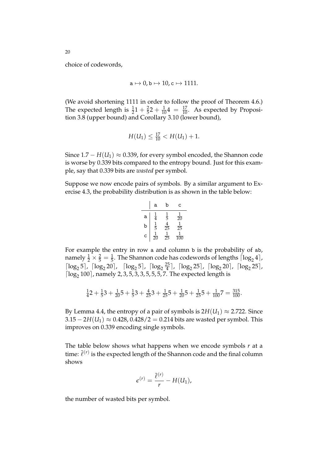choice of codewords,

$$
\mathtt{a} \mapsto 0, \mathtt{b} \mapsto 10, \mathtt{c} \mapsto 1111.
$$

(We avoid shortening 1111 in order to follow the proof of Theorem 4.6.) The expected length is  $\frac{1}{2}1 + \frac{2}{5}2 + \frac{1}{10}4 = \frac{17}{10}$ . As expected by Proposition 3.8 (upper bound) and Corollary 3.10 (lower bound),

$$
H(U_1) \leq \frac{17}{10} < H(U_1) + 1.
$$

Since  $1.7 - H(U_1) \approx 0.339$ , for every symbol encoded, the Shannon code is worse by 0.339 bits compared to the entropy bound. Just for this example, say that 0.339 bits are *wasted* per symbol.

Suppose we now encode pairs of symbols. By a similar argument to Exercise 4.3, the probability distribution is as shown in the table below:

| a | b              | c              |                 |
|---|----------------|----------------|-----------------|
| a | $\frac{1}{4}$  | $\frac{1}{5}$  | $\frac{1}{20}$  |
| b | $\frac{1}{5}$  | $\frac{4}{25}$ | $\frac{1}{25}$  |
| c | $\frac{1}{20}$ | $\frac{1}{25}$ | $\frac{1}{100}$ |

For example the entry in row a and column b is the probability of ab, namely  $\frac{1}{2} \times \frac{2}{5} = \frac{1}{5}$ . The Shannon code has codewords of lengths  $\lceil \log_2 4 \rceil$ ,  $\left[\log_2 5\right]$ ,  $\left[\log_2 20\right]$ ,  $\left[\log_2 5\right]$ ,  $\left[\log_2 \frac{25}{4}\right]$  $\frac{25}{4}$ ,  $\lceil \log_2 25 \rceil$ ,  $\lceil \log_2 20 \rceil$ ,  $\lceil \log_2 25 \rceil$ ,  $\lceil \log_2 100 \rceil$ , namely 2, 3, 5, 3, 3, 5, 5, 5, 7. The expected length is

$$
\frac{1}{4}2 + \frac{1}{5}3 + \frac{1}{20}5 + \frac{1}{5}3 + \frac{4}{25}3 + \frac{1}{25}5 + \frac{1}{20}5 + \frac{1}{25}5 + \frac{1}{100}7 = \frac{315}{100}.
$$

By Lemma 4.4, the entropy of a pair of symbols is  $2H(U_1) \approx 2.722$ . Since  $3.15 - 2H(U_1) \approx 0.428$ ,  $0.428/2 = 0.214$  bits are wasted per symbol. This improves on 0.339 encoding single symbols.

The table below shows what happens when we encode symbols *r* at a time:  $\bar{\ell}^{(r)}$  is the expected length of the Shannon code and the final column shows

$$
\epsilon^{(r)}=\frac{\overline{\ell}^{(r)}}{r}-H(U_1),
$$

the number of wasted bits per symbol.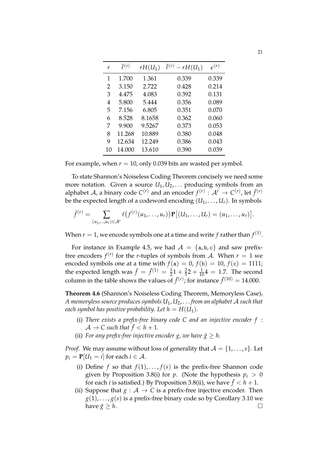| r  | $\bar{p}(r)$ | $rH(U_1)$ | $\overline{\ell}^{(r)} - rH(U_1)$ | $\epsilon^{(r)}$ |
|----|--------------|-----------|-----------------------------------|------------------|
| 1  | 1.700        | 1.361     | 0.339                             | 0.339            |
| 2  | 3.150        | 2.722     | 0.428                             | 0.214            |
| 3  | 4.475        | 4.083     | 0.392                             | 0.131            |
| 4  | 5.800        | 5.444     | 0.356                             | 0.089            |
| 5  | 7.156        | 6.805     | 0.351                             | 0.070            |
| 6  | 8.528        | 8.1658    | 0.362                             | 0.060            |
| 7  | 9.900        | 9.5267    | 0.373                             | 0.053            |
| 8  | 11.268       | 10.889    | 0.380                             | 0.048            |
| 9  | 12.634       | 12.249    | 0.386                             | 0.043            |
| 10 | 14.000       | 13.610    | 0.390                             | 0.039            |

For example, when  $r = 10$ , only 0.039 bits are wasted per symbol.

To state Shannon's Noiseless Coding Theorem concisely we need some more notation. Given a source  $U_1, U_2, \ldots$  producing symbols from an alphabet A, a binary code  $C^{(r)}$  and an encoder  $f^{(r)}: \mathcal{A}^r \to C^{(r)}$ , let  $\bar{f}^{(r)}$ be the expected length of a codeword encoding  $(U_1, \ldots, U_r)$ . In symbols

$$
\bar{f}^{(r)} = \sum_{(u_1,...,u_r) \in \mathcal{A}^r} \ell(f^{(r)}(u_1,...,u_r)) \mathbf{P}[(U_1,...,U_r) = (u_1,...,u_r)].
$$

When  $r=1$ , we encode symbols one at a time and write  $f$  rather than  $f^{(1)}$ .

For instance in Example 4.5, we had  $A = \{a, b, c\}$  and saw prefixfree encoders  $f^{(r)}$  for the *r*-tuples of symbols from A. When  $r = 1$  we encoded symbols one at a time with  $f(a) = 0$ ,  $f(b) = 10$ ,  $f(c) = 1111$ ; the expected length was  $\bar{f} = \bar{f}^{(1)} = \frac{1}{2}1 + \frac{2}{5}2 + \frac{1}{10}4 = 1.7$ . The second column in the table shows the values of  $\bar{f}^{(r)}$ ; for instance  $\bar{f}^{(10)} = 14.000$ .

**Theorem 4.6** (Shannon's Noiseless Coding Theorem, Memoryless Case)**.** *A memoryless source produces symbols U*1, *U*2, . . . *from an alphabet* A *such that each symbol has positive probability. Let*  $h = H(U_1)$ *.* 

- (i) *There exists a prefix-free binary code C and an injective encoder f* :  $\mathcal{A} \to \mathcal{C}$  such that  $\bar{f} < h+1$ .
- (ii) *For any prefix-free injective encoder g, we have*  $\bar{g} \geq h$ .

*Proof.* We may assume without loss of generality that  $A = \{1, \ldots, s\}$ . Let  $p_i = P[U_1 = i]$  for each  $i \in \mathcal{A}$ .

- (i) Define *f* so that  $f(1), \ldots, f(s)$  is the prefix-free Shannon code given by Proposition 3.8(i) for *p*. (Note the hypothesis  $p_i > 0$ for each *i* is satisfied.) By Proposition 3.8(ii), we have  $\bar{f} < h+1$ .
- (ii) Suppose that  $g : A \to C$  is a prefix-free injective encoder. Then  $g(1), \ldots, g(s)$  is a prefix-free binary code so by Corollary 3.10 we have  $\bar{g} \geq h$ .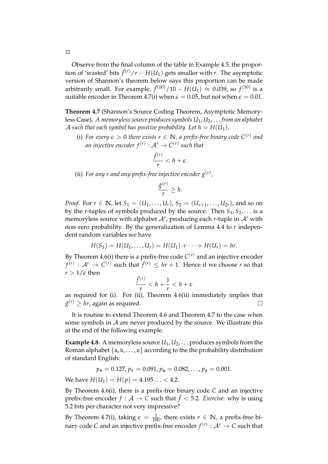Observe from the final column of the table in Example 4.5, the proportion of 'wasted' bits  $\bar{f}^{(r)}/r - H(U_1)$  gets smaller with *r*. The asymptotic version of Shannon's theorem below says this proportion can be made arbitrarily small. For example,  $\bar{f}^{(10)}/10 - H(U_1) \approx 0.039$ , so  $f^{(10)}$  is a suitable encoder in Theorem 4.7(i) when  $\epsilon = 0.05$ , but not when  $\epsilon = 0.01$ .

**Theorem 4.7** (Shannon's Source Coding Theorem, Asymptotic Memoryless Case)**.** *A memoryless source produces symbols U*1, *U*2, . . . *from an alphabet* A such that each symbol has positive probability. Let  $h = H(U_1)$ .

(i) *For every*  $\epsilon > 0$  *there exists*  $r \in \mathbb{N}$ *, a prefix-free binary code*  $C^{(r)}$  *and an injective encoder*  $f^{(r)}: \mathcal{A}^r \to C^{(r)}$  such that

$$
\frac{\bar{f}^{(r)}}{r} < h + \epsilon.
$$

(ii) For any r and any prefix-free injective encoder  $g^{(r)}$ ,

$$
\frac{\bar{g}^{(r)}}{r} \geq h.
$$

*Proof.* For  $r \in \mathbb{N}$ , let  $S_1 = (U_1, \ldots, U_r)$ ,  $S_2 = (U_{r+1}, \ldots, U_{2r})$ , and so on by the *r*-tuples of symbols produced by the source. Then  $S_1, S_2, \ldots$  is a memoryless source with alphabet <sup>A</sup>*<sup>r</sup>* , producing each *<sup>r</sup>*-tuple in <sup>A</sup>*<sup>r</sup>* with non-zero probability. By the generalization of Lemma 4.4 to *r* independent random variables we have

$$
H(S_1) = H(U_1, ..., U_r) = H(U_1) + \cdots + H(U_r) = hr.
$$

By Theorem 4.6(i) there is a prefix-free code  $C^{(r)}$  and an injective encoder  $f^{(r)}$  :  $A^r \rightarrow C^{(r)}$  such that  $\bar{f}^{(r)} \leq hr + 1$ . Hence if we choose *r* so that  $r > 1/\epsilon$  then

$$
\frac{\bar{f}^{(r)}}{r} < h + \frac{1}{r} < h + \epsilon
$$

as required for (i). For (ii), Theorem 4.6(ii) immediately implies that  $\bar{g}^{(r)} \geq h r$ , again as required.

It is routine to extend Theorem 4.6 and Theorem 4.7 to the case when some symbols in  $A$  are never produced by the source. We illustrate this at the end of the following example.

**Example 4.8.** A memoryless source  $U_1, U_2, \ldots$  produces symbols from the Roman alphabet  $\{a, b, \ldots, z\}$  according to the the probability distribution of standard English:

$$
p_e = 0.127
$$
,  $p_t = 0.091$ ,  $p_a = 0.082$ , ...,  $p_z = 0.001$ .

We have  $H(U_1) = H(p) = 4.195... < 4.2$ .

By Theorem 4.6(i), there is a prefix-free binary code *C* and an injective prefix-free encoder  $f : \mathcal{A} \to \overline{C}$  such that  $\overline{f} < 5.2$ . *Exercise:* why is using 5.2 bits per character not very impressive?

By Theorem 4.7(i), taking  $\epsilon = \frac{1}{100}$ , there exists  $r \in \mathbb{N}$ , a prefix-free binary code *C* and an injective prefix-free encoder  $f^{(r)}: \mathcal{A}^r \to \mathcal{C}$  such that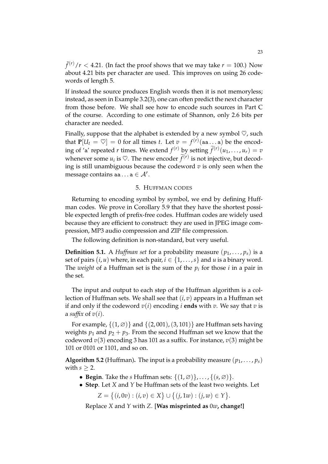$\bar{f}^{(r)}/r$  < 4.21. (In fact the proof shows that we may take  $r = 100$ .) Now about 4.21 bits per character are used. This improves on using 26 codewords of length 5.

If instead the source produces English words then it is not memoryless; instead, as seen in Example 3.2(3), one can often predict the next character from those before. We shall see how to encode such sources in Part C of the course. According to one estimate of Shannon, only 2.6 bits per character are needed.

Finally, suppose that the alphabet is extended by a new symbol  $\heartsuit$ , such that  $P[U_t = \heartsuit] = 0$  for all times *t*. Let  $v = f^{(r)}(aa \dots a)$  be the encoding of 'a' repeated *r* times. We extend  $f^{(r)}$  by setting  $\widetilde{f}^{(r)}(u_1, \ldots, u_r) = v$ whenever some  $u_i$  is  $\heartsuit$ . The new encoder  $\widetilde{f}^{(r)}$  is not injective, but decoding is still unambiguous because the codeword *v* is only seen when the message contains aa  $\ldots$  a  $\in \mathcal{A}^r$ .

### 5. HUFFMAN CODES

Returning to encoding symbol by symbol, we end by defining Huffman codes. We prove in Corollary 5.9 that they have the shortest possible expected length of prefix-free codes. Huffman codes are widely used because they are efficient to construct: they are used in JPEG image compression, MP3 audio compression and ZIP file compression.

The following definition is non-standard, but very useful.

**Definition 5.1.** A *Huffman set* for a probability measure  $(p_1, \ldots, p_s)$  is a set of pairs  $(i, u)$  where, in each pair,  $i \in \{1, \ldots, s\}$  and  $u$  is a binary word. The *weight* of a Huffman set is the sum of the  $p_i$  for those  $i$  in a pair in the set.

The input and output to each step of the Huffman algorithm is a collection of Huffman sets. We shall see that (*i*, *v*) appears in a Huffman set if and only if the codeword  $v(i)$  encoding *i* **ends** with  $v$ . We say that  $v$  is a *suffix* of  $v(i)$ .

For example,  $\{(1,\emptyset)\}$  and  $\{(2,001), (3,101)\}$  are Huffman sets having weights  $p_1$  and  $p_2 + p_3$ . From the second Huffman set we know that the codeword *v*(3) encoding 3 has 101 as a suffix. For instance, *v*(3) might be 101 or 0101 or 1101, and so on.

**Algorithm 5.2** (Huffman). The input is a probability measure  $(p_1, \ldots, p_s)$ with  $s \geq 2$ .

- **Begin**. Take the *s* Huffman sets:  $\{(1, \emptyset)\}, \ldots, \{(s, \emptyset)\}.$
- **Step**. Let *X* and *Y* be Huffman sets of the least two weights. Let

 $Z = \{(i, 0v) : (i, v) \in X\} \cup \{(j, 1w) : (j, w) \in Y\}.$ 

Replace *X* and *Y* with *Z*. [**Was misprinted as** 0*w***, change!]**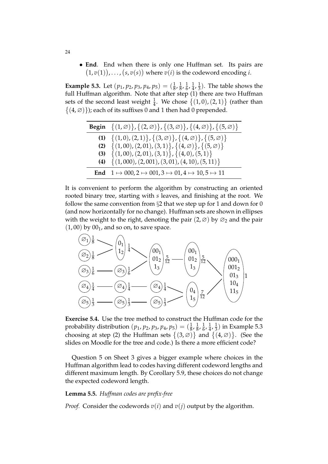• **End**. End when there is only one Huffman set. Its pairs are  $(1, v(1)), \ldots, (s, v(s))$  where  $v(i)$  is the codeword encoding *i*.

**Example 5.3.** Let  $(p_1, p_2, p_3, p_4, p_5) = (\frac{1}{8}, \frac{1}{8})$  $\frac{1}{8}$ ,  $\frac{1}{6}$  $\frac{1}{6}$ ,  $\frac{1}{4}$  $\frac{1}{4}$ ,  $\frac{1}{3}$  $\frac{1}{3}$ ). The table shows the full Huffman algorithm. Note that after step (1) there are two Huffman sets of the second least weight  $\frac{1}{4}$ . We chose  $\{(1,0),(2,1)\}$  (rather than  $\{(4,\emptyset)\}$ ); each of its suffixes 0 and 1 then had 0 prepended.

| <b>Begin</b> $\{(1,\emptyset)\}, \{(2,\emptyset)\}, \{(3,\emptyset)\}, \{(4,\emptyset)\}, \{(5,\emptyset)\}$ |
|--------------------------------------------------------------------------------------------------------------|
| (1) $\{(1,0),(2,1)\},\{(3,\emptyset)\},\{(4,\emptyset)\},\{(5,\emptyset)\}$                                  |
| (2) $\{(1,00), (2,01), (3,1)\}, \{(4,\emptyset)\}, \{(5,\emptyset)\}$                                        |
| (3) { $(1,00)$ , $(2,01)$ , $(3,1)$ }, $(4,0)$ , $(5,1)$ }                                                   |
| (4) { $(1,000)$ , $(2,001)$ , $(3,01)$ , $(4,10)$ , $(5,11)$ }                                               |
| End $1 \mapsto 000, 2 \mapsto 001, 3 \mapsto 01, 4 \mapsto 10, 5 \mapsto 11$                                 |

It is convenient to perform the algorithm by constructing an oriented rooted binary tree, starting with *s* leaves, and finishing at the root. We follow the same convention from  $\S2$  that we step up for 1 and down for 0 (and now horizontally for no change). Huffman sets are shown in ellipses with the weight to the right, denoting the pair  $(2,\emptyset)$  by  $\emptyset_2$  and the pair  $(1,00)$  by  $00<sub>1</sub>$ , and so on, to save space.



**Exercise 5.4.** Use the tree method to construct the Huffman code for the probability distribution  $(p_1, p_2, p_3, p_4, p_5) = (\frac{1}{8}, \frac{1}{8})$  $\frac{1}{8}$ ,  $\frac{1}{6}$  $\frac{1}{6}$ ,  $\frac{1}{4}$  $\frac{1}{4}, \frac{1}{3}$  $\frac{1}{3}$ ) in Example 5.3 choosing at step (2) the Huffman sets  $\{(3,\varnothing)\}$  and  $\{(4,\varnothing)\}$ . (See the slides on Moodle for the tree and code.) Is there a more efficient code?

Question 5 on Sheet 3 gives a bigger example where choices in the Huffman algorithm lead to codes having different codeword lengths and different maximum length. By Corollary 5.9, these choices do not change the expected codeword length.

#### **Lemma 5.5.** *Huffman codes are prefix-free*

*Proof.* Consider the codewords  $v(i)$  and  $v(j)$  output by the algorithm.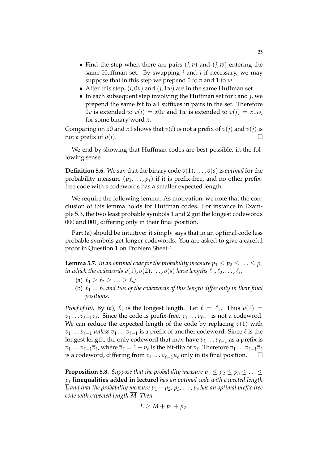- Find the step when there are pairs  $(i, v)$  and  $(i, w)$  entering the same Huffman set. By swapping *i* and *j* if necessary, we may suppose that in this step we prepend 0 to *v* and 1 to *w*.
- After this step,  $(i, 0v)$  and  $(j, 1w)$  are in the same Huffman set.
- In each subsequent step involving the Huffman set for *i* and *j*, we prepend the same bit to all suffixes in pairs in the set. Therefore 0*v* is extended to  $v(i) = x0v$  and 1*w* is extended to  $v(i) = x1w$ , for some binary word *x*.

Comparing on *x*0 and *x*1 shows that  $v(i)$  is not a prefix of  $v(j)$  and  $v(j)$  is not a prefix of  $v(i)$ .

We end by showing that Huffman codes are best possible, in the following sense.

**Definition 5.6.** We say that the binary code  $v(1), \ldots, v(s)$  is *optimal* for the probability measure  $(p_1, \ldots, p_s)$  if it is prefix-free, and no other prefixfree code with *s* codewords has a smaller expected length.

We require the following lemma. As motivation, we note that the conclusion of this lemma holds for Huffman codes. For instance in Example 5.3, the two least probable symbols 1 and 2 got the longest codewords 000 and 001, differing only in their final position.

Part (a) should be intuitive: it simply says that in an optimal code less probable symbols get longer codewords. You are asked to give a careful proof in Question 1 on Problem Sheet 4.

**Lemma 5.7.** *In an optimal code for the probability measure*  $p_1 \leq p_2 \leq \ldots \leq p_s$ *in which the codewords*  $v(1)$  *,*  $v(2)$  *,*  $\ldots$  *,*  $v(s)$  *have lengths*  $\ell_1, \ell_2, \ldots, \ell_s$  *,* 

- (a)  $\ell_1 \geq \ell_2 \geq ... \geq \ell_s;$
- (b)  $\ell_1 = \ell_2$  and two of the codewords of this length differ only in their final *positions.*

*Proof of (b).* By (a),  $\ell_1$  is the longest length. Let  $\ell = \ell_1$ . Thus  $v(1)$  = *v*<sub>1</sub> . . . *v*<sub>ℓ−1</sub>*v*<sub>ℓ</sub>. Since the code is prefix-free, *v*<sub>1</sub> . . . *v*<sub>ℓ−1</sub> is not a codeword. We can reduce the expected length of the code by replacing  $v(1)$  with *v*<sub>1</sub> . . . *v*<sub> $\ell$ −1</sub> *unless v*<sub>1</sub> . . . *v*<sub> $\ell$ −1</sub> is a prefix of another codeword. Since  $\ell$  is the longest length, the only codeword that may have  $v_1 \ldots v_{\ell-1}$  as a prefix is  $v_1 \dots v_{\ell-1} \overline{v}_{\ell}$ , where  $\overline{v}_{\ell} = 1 - v_{\ell}$  is the bit-flip of  $v_{\ell}$ . Therefore  $v_1 \dots v_{\ell-1} \overline{v}_{\ell}$ is a codeword, differing from  $v_1 \dots v_{\ell-1} u_{\ell}$  only in its final position.  $□$ 

**Proposition 5.8.** *Suppose that the probability measure*  $p_1 \leq p_2 \leq p_3 \leq \ldots \leq p_k$ *p<sup>s</sup>* **[inequalities added in lecture]** *has an optimal code with expected length*  $\overline{L}$  and that the probability measure  $p_1 + p_2, p_3, \ldots, p_s$  has an optimal prefix-free *code with expected length M. Then*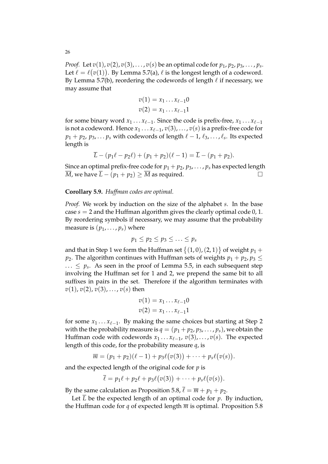*Proof.* Let *v*(1), *v*(2), *v*(3), . . . , *v*(*s*) be an optimal code for *p*1, *p*2, *p*3, . . . , *p<sup>s</sup>* . Let  $\ell = \ell(v(1))$ . By Lemma 5.7(a),  $\ell$  is the longest length of a codeword. By Lemma 5.7(b), reordering the codewords of length  $\ell$  if necessary, we may assume that

$$
v(1) = x_1 \dots x_{\ell-1} 0
$$
  

$$
v(2) = x_1 \dots x_{\ell-1} 1
$$

for some binary word  $x_1 \ldots x_{\ell-1}$ . Since the code is prefix-free,  $x_1 \ldots x_{\ell-1}$ is not a codeword. Hence  $x_1 \ldots x_{\ell-1}$ ,  $v(3)$ , . . . ,  $v(s)$  is a prefix-free code for  $p_1 + p_2, p_3, \ldots p_s$  with codewords of length  $\ell - 1, \ell_3, \ldots, \ell_s$ . Its expected length is

$$
\overline{L} - (p_1\ell - p_2\ell) + (p_1 + p_2)(\ell - 1) = \overline{L} - (p_1 + p_2).
$$

Since an optimal prefix-free code for  $p_1 + p_2, p_3, \ldots, p_s$  has expected length *M*, we have  $\overline{L}$  − ( $p_1 + p_2$ ) ≥  $\overline{M}$  as required.  $\Box$ 

### **Corollary 5.9.** *Huffman codes are optimal.*

*Proof.* We work by induction on the size of the alphabet *s*. In the base case  $s = 2$  and the Huffman algorithm gives the clearly optimal code  $0, 1$ . By reordering symbols if necessary, we may assume that the probability measure is  $(p_1, \ldots, p_s)$  where

$$
p_1 \leq p_2 \leq p_3 \leq \ldots \leq p_s
$$

and that in Step 1 we form the Huffman set  $\big\{(1,0),(2,1)\big\}$  of weight  $p_1+$ *p*<sub>2</sub>. The algorithm continues with Huffman sets of weights  $p_1 + p_2$ ,  $p_3 \leq$  $\ldots \leq p_s$ . As seen in the proof of Lemma 5.5, in each subsequent step involving the Huffman set for 1 and 2, we prepend the same bit to all suffixes in pairs in the set. Therefore if the algorithm terminates with  $v(1)$ ,  $v(2)$ ,  $v(3)$ , ...,  $v(s)$  then

$$
v(1) = x_1 \dots x_{\ell-1} 0
$$
  

$$
v(2) = x_1 \dots x_{\ell-1} 1
$$

for some *x*<sub>1</sub> . . . *x*<sub>ℓ−1</sub>. By making the same choices but starting at Step 2 with the the probability measure is  $q = (p_1 + p_2, p_3, \ldots, p_s)$ , we obtain the Huffman code with codewords  $x_1 \ldots x_{\ell-1}$ ,  $v(3)$ , ...,  $v(s)$ . The expected length of this code, for the probability measure *q*, is

$$
\overline{m}=(p_1+p_2)(\ell-1)+p_3\ell(v(3))+\cdots+p_s\ell(v(s)).
$$

and the expected length of the original code for *p* is

$$
\overline{\ell} = p_1 \ell + p_2 \ell + p_3 \ell \big( v(3) \big) + \cdots + p_s \ell \big( v(s) \big).
$$

By the same calculation as Proposition 5.8,  $\bar{\ell} = \bar{m} + p_1 + p_2$ .

Let  $\overline{L}$  be the expected length of an optimal code for  $p$ . By induction, the Huffman code for *q* of expected length  $\overline{m}$  is optimal. Proposition 5.8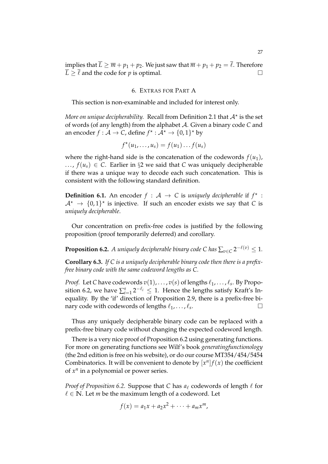#### 6. EXTRAS FOR PART A

This section is non-examinable and included for interest only.

*More on unique decipherability.* Recall from Definition 2.1 that  $\mathcal{A}^{\star}$  is the set of words (of any length) from the alphabet A. Given a binary code *C* and an encoder  $f : \mathcal{A} \to \mathcal{C}$ , define  $f^{\star} : \mathcal{A}^{\star} \to \{0,1\}^{\star}$  by

$$
f^{\star}(u_1,\ldots,u_s)=f(u_1)\ldots f(u_s)
$$

where the right-hand side is the concatenation of the codewords  $f(u_1)$ , ...,  $f(u_s)$  ∈ *C*. Earlier in §2 we said that *C* was uniquely decipherable if there was a unique way to decode each such concatenation. This is consistent with the following standard definition.

**Definition 6.1.** An encoder  $f : A \rightarrow C$  is *uniquely decipherable* if  $f^*$ :  $\mathcal{A}^{\star} \to \{0,1\}^{\star}$  is injective. If such an encoder exists we say that *C* is *uniquely decipherable*.

Our concentration on prefix-free codes is justified by the following proposition (proof temporarily deferred) and corollary.

**Proposition 6.2.** *A uniquely decipherable binary code C has*  $\sum_{v \in C} 2^{-\ell(v)} \leq 1$ *.* 

**Corollary 6.3.** *If C is a uniquely decipherable binary code then there is a prefixfree binary code with the same codeword lengths as C.*

*Proof.* Let C have codewords  $v(1)$ , . . . ,  $v(s)$  of lengths  $\ell_1$ , . . . ,  $\ell_s$ . By Proposition 6.2, we have  $\sum_{i=1}^s 2^{-\ell_i} \leq 1$ . Hence the lengths satisfy Kraft's Inequality. By the 'if' direction of Proposition 2.9, there is a prefix-free binary code with codewords of lengths  $\ell_1, \ldots, \ell_s$ . . — Пример, на производите на пример.<br>После на пример, на пример, на пример, на пример, на пример, на пример, на пример, на пример, на пример, на пр<br>После на пример, на пример, на пример, на пример, на пример, на пример,

Thus any uniquely decipherable binary code can be replaced with a prefix-free binary code without changing the expected codeword length.

There is a very nice proof of Proposition 6.2 using generating functions. For more on generating functions see Wilf's book *generatingfunctionology* (the 2nd edition is free on his website), or do our course MT354/454/5454 Combinatorics. It will be convenient to denote by  $[x^n]f(x)$  the coefficient of *x n* in a polynomial or power series.

*Proof of Proposition 6.2.* Suppose that *C* has  $a_\ell$  codewords of length  $\ell$  for  $\ell \in \mathbb{N}$ . Let *m* be the maximum length of a codeword. Let

$$
f(x) = a_1x + a_2x^2 + \cdots + a_mx^m,
$$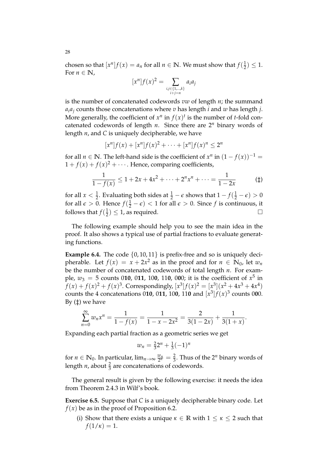chosen so that  $[x^n]f(x) = a_n$  for all  $n \in \mathbb{N}$ . We must show that  $f(\frac{1}{2})$  $(\frac{1}{2}) \leq 1.$ For  $n \in \mathbb{N}$ ,

$$
[x^n]f(x)^2 = \sum_{\substack{i,j \in \{1,\dots,k\} \\ i+j=n}} a_i a_j
$$

is the number of concatenated codewords *vw* of length *n*; the summand  $a_i a_j$  counts those concatenations where *v* has length *i* and *w* has length *j*. More generally, the coefficient of  $x^n$  in  $f(x)^t$  is the number of *t*-fold concatenated codewords of length  $n$ . Since there are  $2^n$  binary words of length *n*, and *C* is uniquely decipherable, we have

$$
[x^n]f(x) + [x^n]f(x)^2 + \cdots + [x^n]f(x)^n \le 2^n
$$

for all *n* ∈ **N**. The left-hand side is the coefficient of  $x^n$  in  $(1 - f(x))^{-1} =$  $1 + f(x) + f(x)^2 + \cdots$ . Hence, comparing coefficients,

$$
\frac{1}{1 - f(x)} \le 1 + 2x + 4x^2 + \dots + 2^n x^n + \dots = \frac{1}{1 - 2x} \tag{1}
$$

for all  $x < \frac{1}{2}$ . Evaluating both sides at  $\frac{1}{2} - \epsilon$  shows that  $1 - f(\frac{1}{2} - \epsilon) > 0$ for all  $\epsilon > 0$ . Hence  $f(\frac{1}{2} - \epsilon) < 1$  for all  $\epsilon > 0$ . Since f is continuous, it follows that  $f(\frac{1}{2})$  $\frac{1}{2}$ )  $\leq$  1, as required.

The following example should help you to see the main idea in the proof. It also shows a typical use of partial fractions to evaluate generating functions.

**Example 6.4.** The code  $\{0, 10, 11\}$  is prefix-free and so is uniquely decipherable. Let  $f(x) = x + 2x^2$  as in the proof and for  $n \in \mathbb{N}_0$ , let  $w_n$ be the number of concatenated codewords of total length *n*. For example,  $w_3 = 5$  counts 010, 011, 100, 110, 000; it is the coefficient of  $x^5$  in  $f(x) + f(x)^2 + f(x)^3$ . Correspondingly,  $[x^3]f(x)^2 = [x^3](x^2 + 4x^3 + 4x^4)$ counts the 4 concatenations 010, 011, 100, 110 and  $[x^3]f(x)^3$  counts 000. By  $(†)$  we have

$$
\sum_{n=0}^{\infty} w_n x^n = \frac{1}{1 - f(x)} = \frac{1}{1 - x - 2x^2} = \frac{2}{3(1 - 2x)} + \frac{1}{3(1 + x)}.
$$

Expanding each partial fraction as a geometric series we get

$$
w_n = \frac{2}{3}2^n + \frac{1}{3}(-1)^n
$$

for  $n \in \mathbb{N}_0$ . In particular,  $\lim_{n\to\infty} \frac{w_n}{2^n} = \frac{2}{3}$ . Thus of the 2<sup>*n*</sup> binary words of length *n*, about  $\frac{2}{3}$  are concatenations of codewords.

The general result is given by the following exercise: it needs the idea from Theorem 2.4.3 in Wilf's book.

**Exercise 6.5.** Suppose that *C* is a uniquely decipherable binary code. Let  $f(x)$  be as in the proof of Proposition 6.2.

(i) Show that there exists a unique  $\kappa \in \mathbb{R}$  with  $1 \leq \kappa \leq 2$  such that  $f(1/\kappa) = 1.$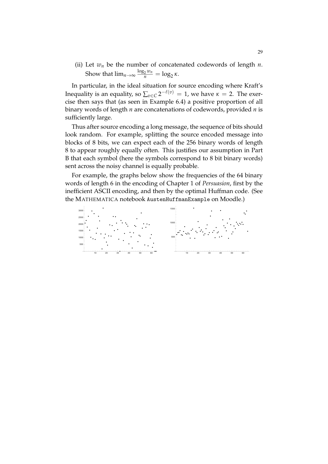(ii) Let  $w_n$  be the number of concatenated codewords of length  $n$ . Show that  $\lim_{n\to\infty} \frac{\log_2 w_n}{n} = \log_2 \kappa$ .

In particular, in the ideal situation for source encoding where Kraft's Inequality is an equality, so  $\sum_{v \in C} 2^{-\ell(v)} = 1$ , we have  $\kappa = 2$ . The exercise then says that (as seen in Example 6.4) a positive proportion of all binary words of length *n* are concatenations of codewords, provided *n* is sufficiently large.

Thus after source encoding a long message, the sequence of bits should look random. For example, splitting the source encoded message into blocks of 8 bits, we can expect each of the 256 binary words of length 8 to appear roughly equally often. This justifies our assumption in Part B that each symbol (here the symbols correspond to 8 bit binary words) sent across the noisy channel is equally probable.

For example, the graphs below show the frequencies of the 64 binary words of length 6 in the encoding of Chapter 1 of *Persuasion*, first by the inefficient ASCII encoding, and then by the optimal Huffman code. (See the MATHEMATICA notebook AustenHuffmanExample on Moodle.)

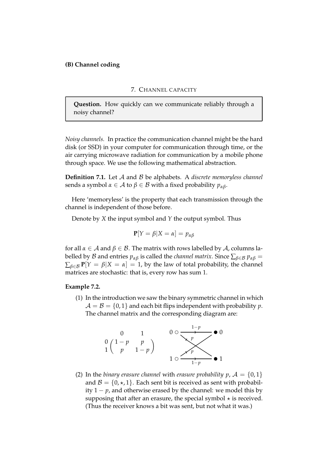## **(B) Channel coding**

## 7. CHANNEL CAPACITY

**Question.** How quickly can we communicate reliably through a noisy channel?

*Noisy channels.* In practice the communication channel might be the hard disk (or SSD) in your computer for communication through time, or the air carrying microwave radiation for communication by a mobile phone through space. We use the following mathematical abstraction.

**Definition 7.1.** Let A and B be alphabets. A *discrete memoryless channel* sends a symbol *α* ∈ *A* to *β* ∈ *B* with a fixed probability  $p_{\alpha\beta}$ .

Here 'memoryless' is the property that each transmission through the channel is independent of those before.

Denote by *X* the input symbol and *Y* the output symbol. Thus

$$
\mathbf{P}[Y=\beta|X=\alpha]=p_{\alpha\beta}
$$

for all  $\alpha \in A$  and  $\beta \in B$ . The matrix with rows labelled by A, columns labelled by *B* and entries  $p_{\alpha\beta}$  is called the *channel matrix*. Since  $\sum_{\beta \in \mathcal{B}} p_{\alpha\beta} =$  $\sum_{\beta \in \mathcal{B}} P[Y = \beta | X = \alpha] = 1$ , by the law of total probability, the channel matrices are stochastic: that is, every row has sum 1.

#### **Example 7.2.**

(1) In the introduction we saw the binary symmetric channel in which  $A = B = \{0, 1\}$  and each bit flips independent with probability p. The channel matrix and the corresponding diagram are:



(2) In the *binary erasure channel* with *erasure probability p*,  $A = \{0, 1\}$ and  $\mathcal{B} = \{0, \star, 1\}$ . Each sent bit is received as sent with probability  $1 - p$ , and otherwise erased by the channel: we model this by supposing that after an erasure, the special symbol  $\star$  is received. (Thus the receiver knows a bit was sent, but not what it was.)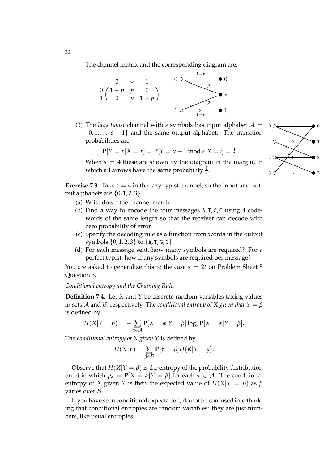The channel matrix and the corresponding diagram are:



(3) The *lazy typist* channel with *s* symbols has input alphabet  $A =$  $\{0, 1, \ldots, s - 1\}$  and the same output alphabet. The transition probabilities are

$$
\mathbf{P}[Y = x | X = x] = \mathbf{P}[Y = x + 1 \text{ mod } s | X = i] = \frac{1}{2}.
$$

When  $s = 4$  these are shown by the diagram in the margin, in which all arrows have the same probability  $\frac{1}{2}$ .

**Exercise 7.3.** Take  $s = 4$  in the lazy typist channel, so the input and output alphabets are  $\{0, 1, 2, 3\}$ .

- (a) Write down the channel matrix.
- (b) Find a way to encode the four messages A, T, G, C using 4 codewords of the same length so that the receiver can decode with zero probability of error.
- (c) Specify the decoding rule as a function from words in the output symbols  $\{0, 1, 2, 3\}$  to  $\{A, T, G, C\}$ .
- (d) For each message sent, how many symbols are required? For a perfect typist, how many symbols are required per message?

You are asked to generalize this to the case  $s = 2t$  on Problem Sheet 5 Question 3.

*Conditional entropy and the Chaining Rule.*

**Definition 7.4.** Let *X* and *Y* be discrete random variables taking values in sets A and B, respectively. The *conditional entropy of X given that*  $Y = \beta$ is defined by

$$
H(X|Y = \beta) = -\sum_{\alpha \in \mathcal{A}} P[X = \alpha | Y = \beta] \log_2 P[X = \alpha | Y = \beta].
$$

The *conditional entropy of X given Y* is defined by

$$
H(X|Y) = \sum_{\beta \in \mathcal{B}} \mathbf{P}[Y = \beta] H(K|Y = y).
$$

Observe that  $H(X|Y = \beta)$  is the entropy of the probability distribution on A in which  $p_{\alpha} = P[X = \alpha | Y = \beta]$  for each  $\alpha \in A$ . The conditional entropy of *X* given *Y* is then the expected value of  $H(X|Y = \beta)$  as  $\beta$ varies over B.

If you have seen conditional expectation, do not be confused into thinking that conditional entropies are random variables: they are just numbers, like usual entropies.

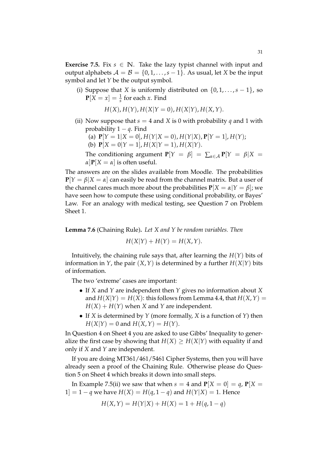**Exercise 7.5.** Fix  $s \in \mathbb{N}$ . Take the lazy typist channel with input and output alphabets  $A = B = \{0, 1, \ldots, s - 1\}$ . As usual, let *X* be the input symbol and let *Y* be the output symbol.

(i) Suppose that *X* is uniformly distributed on  $\{0, 1, \ldots, s - 1\}$ , so  $P[X = x] = \frac{1}{s}$  for each *x*. Find

$$
H(X), H(Y), H(X|Y = 0), H(X|Y), H(X,Y).
$$

(ii) Now suppose that  $s = 4$  and *X* is 0 with probability *q* and 1 with probability  $1 - q$ . Find

(a) 
$$
P[Y = 1 | X = 0], H(Y | X = 0), H(Y | X), P[Y = 1], H(Y);
$$

(b)  $P[X = 0|Y = 1], H(X|Y = 1), H(X|Y).$ 

The conditioning argument  $P[Y = \beta] = \sum_{\alpha \in A} P[Y = \beta | X = \beta]$  $\alpha$ **]P**[*X* =  $\alpha$ ] is often useful.

The answers are on the slides available from Moodle. The probabilities  $P[Y = \beta | X = \alpha]$  can easily be read from the channel matrix. But a user of the channel cares much more about the probabilities  $P[X = \alpha | Y = \beta]$ ; we have seen how to compute these using conditional probability, or Bayes' Law. For an analogy with medical testing, see Question 7 on Problem Sheet 1.

**Lemma 7.6** (Chaining Rule)**.** *Let X and Y be random variables. Then*

$$
H(X|Y) + H(Y) = H(X,Y).
$$

Intuitively, the chaining rule says that, after learning the *H*(*Y*) bits of information in *Y*, the pair  $(X, Y)$  is determined by a further  $H(X|Y)$  bits of information.

The two 'extreme' cases are important:

- If *X* and *Y* are independent then *Y* gives no information about *X* and  $H(X|Y) = H(X)$ : this follows from Lemma 4.4, that  $H(X, Y) =$  $H(X) + H(Y)$  when *X* and *Y* are independent.
- If *X* is determined by *Y* (more formally, *X* is a function of *Y*) then  $H(X|Y) = 0$  and  $H(X,Y) = H(Y)$ .

In Question 4 on Sheet 4 you are asked to use Gibbs' Inequality to generalize the first case by showing that  $H(X) > H(X|Y)$  with equality if and only if *X* and *Y* are independent.

If you are doing MT361/461/5461 Cipher Systems, then you will have already seen a proof of the Chaining Rule. Otherwise please do Question 5 on Sheet 4 which breaks it down into small steps.

In Example 7.5(ii) we saw that when  $s = 4$  and  $P[X = 0] = q$ ,  $P[X = 1]$ 1] = 1 − *q* we have  $H(X) = H(q, 1 - q)$  and  $H(Y|X) = 1$ . Hence

$$
H(X,Y) = H(Y|X) + H(X) = 1 + H(q, 1 - q)
$$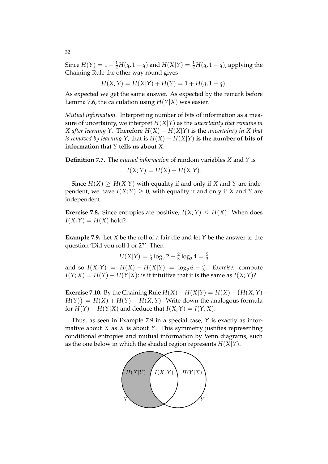Since  $H(Y) = 1 + \frac{1}{2}H(q, 1-q)$  and  $H(X|Y) = \frac{1}{2}H(q, 1-q)$ , applying the Chaining Rule the other way round gives

$$
H(X,Y) = H(X|Y) + H(Y) = 1 + H(q, 1-q).
$$

As expected we get the same answer. As expected by the remark before Lemma 7.6, the calculation using  $H(Y|X)$  was easier.

*Mutual information.* Interpreting number of bits of information as a measure of uncertainty, we interpret *H*(*X*|*Y*) as the *uncertainty that remains in X* after learning *Y*. Therefore  $H(X) - H(X|Y)$  is the *uncertainty in X* that *is removed by learning Y*; that is  $H(X) - H(X|Y)$  is the number of bits of **information that** *Y* **tells us about** *X*.

**Definition 7.7.** The *mutual information* of random variables *X* and *Y* is

$$
I(X;Y) = H(X) - H(X|Y).
$$

Since  $H(X) > H(X|Y)$  with equality if and only if X and Y are independent, we have  $I(X;Y) > 0$ , with equality if and only if *X* and *Y* are independent.

**Exercise 7.8.** Since entropies are positive,  $I(X;Y) \leq H(X)$ . When does  $I(X;Y) = H(X)$  hold?

**Example 7.9.** Let *X* be the roll of a fair die and let *Y* be the answer to the question 'Did you roll 1 or 2?'. Then

$$
H(X|Y) = \frac{1}{3}\log_2 2 + \frac{2}{3}\log_2 4 = \frac{5}{3}
$$

and so  $I(X;Y) = H(X) - H(X|Y) = log_2 6 - \frac{5}{3}$ . *Exercise:* compute  $I(Y; X) = H(Y) - H(Y|X)$ : is it intuitive that it is the same as  $I(X; Y)$ ?

**Exercise 7.10.** By the Chaining Rule  $H(X) - H(X|Y) = H(X) - (H(X,Y) H(Y)$  =  $H(X) + H(Y) - H(X, Y)$ . Write down the analogous formula for  $H(Y) - H(Y|X)$  and deduce that  $I(X;Y) = I(Y;X)$ .

Thus, as seen in Example 7.9 in a special case, *Y* is exactly as informative about *X* as *X* is about *Y*. This symmetry justifies representing conditional entropies and mutual information by Venn diagrams, such as the one below in which the shaded region represents *H*(*X*|*Y*).

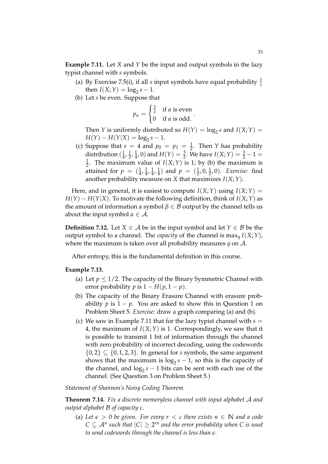**Example 7.11.** Let *X* and *Y* be the input and output symbols in the lazy typist channel with *s* symbols.

- (a) By Exercise 7.5(i), if all *s* input symbols have equal probability  $\frac{1}{s}$ then  $I(X; Y) = \log_2 s - 1$ .
- (b) Let *s* be even. Suppose that

$$
p_{\alpha} = \begin{cases} \frac{2}{s} & \text{if } \alpha \text{ is even} \\ 0 & \text{if } \alpha \text{ is odd.} \end{cases}
$$

Then *Y* is uniformly distributed so  $H(Y) = \log_2 s$  and  $I(X;Y) =$  $H(Y) - H(Y|X) = \log_2 s - 1.$ 

(c) Suppose that  $s = 4$  and  $p_0 = p_1 = \frac{1}{2}$ . Then *Y* has probability distribution ( $\frac{1}{4}$  $\frac{1}{4}$ ,  $\frac{1}{2}$  $\frac{1}{2}$ ,  $\frac{1}{4}$  $\frac{1}{4}$ , 0) and  $H(Y) = \frac{3}{2}$ . We have  $I(X;Y) = \frac{3}{2} - 1 =$ 1  $\frac{1}{2}$ . The maximum value of *I*(*X*;*Y*) is 1; by (b) the maximum is attained for  $p = (\frac{1}{4}, \frac{1}{4})$  $\frac{1}{4}$ ,  $\frac{1}{4}$  $\frac{1}{4}, \frac{1}{4}$  $\frac{1}{4}$ ) and  $p = (\frac{1}{2}, 0, \frac{1}{2}, 0)$ . *Exercise*: find another probability measure on *X* that maximizes *I*(*X*;*Y*).

Here, and in general, it is easiest to compute  $I(X;Y)$  using  $I(X;Y) =$  $H(Y) - H(Y|X)$ . To motivate the following definition, think of  $I(X;Y)$  as the amount of information a symbol  $\beta \in \mathcal{B}$  output by the channel tells us about the input symbol  $\alpha \in \mathcal{A}$ .

**Definition 7.12.** Let  $X \in \mathcal{A}$  be in the input symbol and let  $Y \in \mathcal{B}$  be the output symbol to a channel. The *capacity* of the channel is max*<sup>q</sup> I*(*X*;*Y*), where the maximum is taken over all probability measures *q* on A.

After entropy, this is the fundamental definition in this course.

## **Example 7.13.**

- (a) Let  $p \leq 1/2$ . The capacity of the Binary Symmetric Channel with error probability *p* is  $1 - H(p, 1 - p)$ .
- (b) The capacity of the Binary Erasure Channel with erasure probability *p* is  $1 - p$ . You are asked to show this in Question 1 on Problem Sheet 5. *Exercise:* draw a graph comparing (a) and (b).
- (c) We saw in Example 7.11 that for the lazy typist channel with  $s =$ 4, the maximum of  $I(X;Y)$  is 1. Correspondingly, we saw that it is possible to transmit 1 bit of information through the channel with zero probability of incorrect decoding, using the codewords  $\{0,2\} \subseteq \{0,1,2,3\}$ . In general for *s* symbols, the same argument shows that the maximum is  $\log_2 s - 1$ , so this is the capacity of the channel, and  $\log_2 s - 1$  bits can be sent with each use of the channel. (See Question 3 on Problem Sheet 5.)

*Statement of Shannon's Noisy Coding Theorem.*

**Theorem 7.14.** *Fix a discrete memoryless channel with input alphabet* A *and output alphabet* B *of capacity c.*

(a) Let  $\epsilon > 0$  be given. For every  $r < c$  there exists  $n \in \mathbb{N}$  and a code  $C \subseteq \mathcal{A}^n$  such that  $|C| \geq 2^{rn}$  and the error probability when C is used *to send codewords through the channel is less than e.*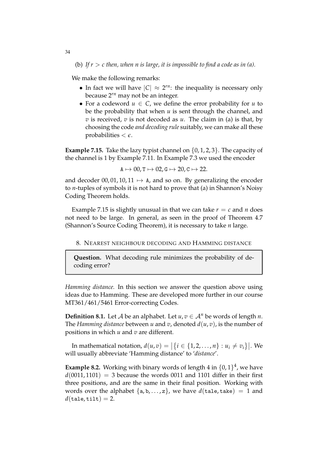(b) If  $r > c$  then, when n is large, it is impossible to find a code as in (a).

We make the following remarks:

- In fact we will have  $|C| \approx 2^{rn}$ : the inequality is necessary only because 2*rn* may not be an integer.
- For a codeword  $u \in C$ , we define the error probability for  $u$  to be the probability that when *u* is sent through the channel, and  $v$  is received,  $v$  is not decoded as  $u$ . The claim in (a) is that, by choosing the code *and decoding rule* suitably, we can make all these probabilities  $< \epsilon$ .

**Example 7.15.** Take the lazy typist channel on {0, 1, 2, 3}. The capacity of the channel is 1 by Example 7.11. In Example 7.3 we used the encoder

 $A \mapsto 00$ , T  $\mapsto 02$ , G  $\mapsto 20$ , C  $\mapsto 22$ .

and decoder 00, 01, 10, 11  $\mapsto$  A, and so on. By generalizing the encoder to *n*-tuples of symbols it is not hard to prove that (a) in Shannon's Noisy Coding Theorem holds.

Example 7.15 is slightly unusual in that we can take  $r = c$  and *n* does not need to be large. In general, as seen in the proof of Theorem 4.7 (Shannon's Source Coding Theorem), it is necessary to take *n* large.

8. NEAREST NEIGHBOUR DECODING AND HAMMING DISTANCE

**Question.** What decoding rule minimizes the probability of decoding error?

*Hamming distance.* In this section we answer the question above using ideas due to Hamming. These are developed more further in our course MT361/461/5461 Error-correcting Codes.

**Definition 8.1.** Let *A* be an alphabet. Let  $u, v \in A^n$  be words of length *n*. The *Hamming distance* between *u* and *v*, denoted *d*(*u*, *v*), is the number of positions in which *u* and *v* are different.

In mathematical notation,  $d(u,v) = |\{i \in \{1,2,\ldots,n\} : u_i \neq v_i\}|$ . We will usually abbreviate 'Hamming distance' to '*distance*'.

**Example 8.2.** Working with binary words of length 4 in  $\{0, 1\}^4$ , we have  $d(0011, 1101) = 3$  because the words 0011 and 1101 differ in their first three positions, and are the same in their final position. Working with words over the alphabet  $\{a, b, \ldots, z\}$ , we have  $d(\text{take}) = 1$  and  $d(\text{tale}, \text{tilt}) = 2.$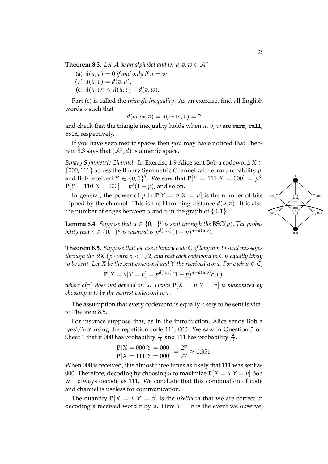**Theorem 8.3.** Let  $\mathcal A$  be an alphabet and let  $u, v, w \in \mathcal A^n$ .

- (a)  $d(u, v) = 0$  *if and only if*  $u = v$ ;
- (b)  $d(u, v) = d(v, u)$ ;
- (c)  $d(u, w) \leq d(u, v) + d(v, w)$ .

Part (c) is called the *triangle inequality*. As an exercise, find all English words *v* such that

$$
d(\mathtt{warm}, v) = d(\mathtt{cold}, v) = 2
$$

and check that the triangle inequality holds when *u*, *v*, *w* are warm, wall, cold, respectively.

If you have seen metric spaces then you may have noticed that Theorem 8.3 says that  $(A<sup>n</sup>, d)$  is a metric space.

*Binary Symmetric Channel.* In Exercise 1.9 Alice sent Bob a codeword *X* ∈ {000, 111} across the Binary Symmetric Channel with error probability *p*, and Bob received  $Y \in \{0, 1\}^3$ . We saw that  $P[Y = 111 | X = 000] = p^3$ ,  $P[Y = 110 | X = 000] = p^2(1 - p)$ , and so on.

In general, the power of *p* in  $P[Y = v|X = u]$  is the number of bits flipped by the channel. This is the Hamming distance  $d(u, v)$ . It is also the number of edges between *u* and *v* in the graph of  $\{0,1\}^3$ .

**Lemma 8.4.** *Suppose that*  $u \in \{0, 1\}^n$  *is sent through the* BSC(*p*)*. The probability that*  $v \in \{0, 1\}^n$  *is received is*  $p^{d(u,v)}(1-p)^{n-d(u,v)}$ .

**Theorem 8.5.** *Suppose that we use a binary code C of length n to send messages through the*  $BSC(p)$  *with*  $p < 1/2$ , and that each codeword in C is equally likely *to be sent. Let X be the sent codeword and Y the received word. For each*  $u \in C$ *,* 

$$
\mathbf{P}[X = u | Y = v] = p^{d(u,v)}(1-p)^{n-d(u,v)}c(v).
$$

*where*  $c(v)$  *does not depend on u. Hence*  $P[X = u|Y = v]$  *is maximized by choosing u to be the nearest codeword to v.*

The assumption that every codeword is equally likely to be sent is vital to Theorem 8.5.

For instance suppose that, as in the introduction, Alice sends Bob a 'yes'/'no' using the repetition code 111, 000. We saw in Question 5 on Sheet 1 that if 000 has probability  $\frac{1}{10}$  and 111 has probability  $\frac{9}{10}$ .

$$
\frac{\mathbf{P}[X = 000 | Y = 000]}{\mathbf{P}[X = 111 | Y = 000]} = \frac{27}{77} \approx 0.351.
$$

When 000 is received, it is almost three times as likely that 111 was sent as 000. Therefore, decoding by choosing *u* to maximize  $P[X = u|Y = v]$  Bob will always decode as 111. We conclude that this combination of code and channel is useless for communication.

The quantity  $P[X = u|Y = v]$  is the *likelihood* that we are correct in decoding a received word *v* by *u*. Here  $Y = v$  is the event we observe,

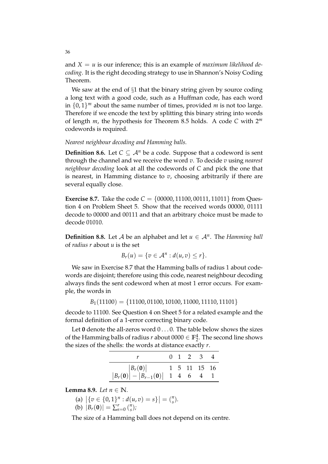and  $X = u$  is our inference; this is an example of *maximum likelihood decoding*. It is the right decoding strategy to use in Shannon's Noisy Coding Theorem.

We saw at the end of  $\S1$  that the binary string given by source coding a long text with a good code, such as a Huffman code, has each word in  $\{0,1\}^m$  about the same number of times, provided *m* is not too large. Therefore if we encode the text by splitting this binary string into words of length *m*, the hypothesis for Theorem 8.5 holds. A code *C* with 2*<sup>m</sup>* codewords is required.

### *Nearest neighbour decoding and Hamming balls.*

**Definition 8.6.** Let  $C \subseteq A^n$  be a code. Suppose that a codeword is sent through the channel and we receive the word *v*. To decide *v* using *nearest neighbour decoding* look at all the codewords of *C* and pick the one that is nearest, in Hamming distance to *v*, choosing arbitrarily if there are several equally close.

**Exercise 8.7.** Take the code  $C = \{00000, 11100, 00111, 11011\}$  from Question 4 on Problem Sheet 5. Show that the received words 00000, 01111 decode to 00000 and 00111 and that an arbitrary choice must be made to decode 01010.

**Definition 8.8.** Let  $A$  be an alphabet and let  $u \in A^n$ . The *Hamming ball* of *radius r* about *u* is the set

$$
B_r(u) = \{v \in A^n : d(u,v) \leq r\}.
$$

We saw in Exercise 8.7 that the Hamming balls of radius 1 about codewords are disjoint; therefore using this code, nearest neighbour decoding always finds the sent codeword when at most 1 error occurs. For example, the words in

 $B_1(11100) = \{11100, 01100, 10100, 11000, 11110, 11101\}$ 

decode to 11100. See Question 4 on Sheet 5 for a related example and the formal definition of a 1-error correcting binary code.

Let 0 denote the all-zeros word  $0...0$ . The table below shows the sizes of the Hamming balls of radius *r* about  $0000 \in \mathbb{F}_2^4$ . The second line shows the sizes of the shells: the words at distance exactly *r*.

|                                                                                                                                             |  | $0 \t1 \t2 \t3 \t4$ |  |
|---------------------------------------------------------------------------------------------------------------------------------------------|--|---------------------|--|
|                                                                                                                                             |  |                     |  |
| $\begin{array}{c cc}  B_r(\mathbf{0})  & 1 & 5 & 11 & 15 & 16 \\  B_r(\mathbf{0})  -  B_{r-1}(\mathbf{0})  & 1 & 4 & 6 & 4 & 1 \end{array}$ |  |                     |  |

**Lemma 8.9.** *Let*  $n \in \mathbb{N}$ *.* 

(a) 
$$
|\{v \in \{0,1\}^n : d(u,v) = s\}| = {n \choose s}
$$
.

(b)  $|B_r(\mathbf{0})| = \sum_{s=0}^r \binom{n}{s}$ *s* )*;*

The size of a Hamming ball does not depend on its centre.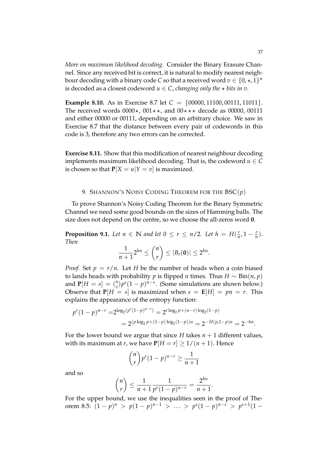*More on maximum likelihood decoding.* Consider the Binary Erasure Channel. Since any received bit is correct, it is natural to modify nearest neighbour decoding with a binary code  $C$  so that a received word  $v \in \{0, \star, 1\}^n$ is decoded as a closest codeword  $u \in C$ , *changing only the*  $\star$  *bits in v*.

**Example 8.10.** As in Exercise 8.7 let  $C = \{00000, 11100, 00111, 11011\}$ . The received words  $0000\star$ ,  $001\star\star$ , and  $00\star\star\star$  decode as 00000, 00111 and either 00000 or 00111, depending on an arbitrary choice. We saw in Exercise 8.7 that the distance between every pair of codewords in this code is 3, therefore any two errors can be corrected.

**Exercise 8.11.** Show that this modification of nearest neighbour decoding implements maximum likelihood decoding. That is, the codeword  $u \in C$ is chosen so that  $P[X = u | Y = v]$  is maximized.

#### 9. SHANNON'S NOISY CODING THEOREM FOR THE BSC(*p*)

To prove Shannon's Noisy Coding Theorem for the Binary Symmetric Channel we need some good bounds on the sizes of Hamming balls. The size does not depend on the centre, so we choose the all-zeros word **0**.

**Proposition 9.1.** *Let*  $n \in \mathbb{N}$  *and let*  $0 \leq r \leq n/2$ *. Let*  $h = H(\frac{r}{n})$  $\frac{r}{n}$ , 1 –  $\frac{r}{n}$ ). *Then*

$$
\frac{1}{n+1}2^{hn}\leq {n\choose r}\leq |B_r(\mathbf{0})|\leq 2^{hn}.
$$

*Proof.* Set  $p = r/n$ . Let *H* be the number of heads when a coin biased to lands heads with probability *p* is flipped *n* times. Thus *H* ∼ Bin(*n*, *p*) and  $P[H = s] = {n \choose s}$  $\int_{s}^{n} p^{s} (1-p)^{n-s}$ . (Some simulations are shown below.) Observe that  $P[H = s]$  is maximized when  $s = E[H] = pn = r$ . This explains the appearance of the entropy function:

$$
p^r (1-p)^{n-r} = 2^{\log_2(p^r(1-p)^{n-r})} = 2^{r \log_2 p + (n-r) \log_2(1-p)}
$$
  
= 
$$
2^{(p \log_2 p + (1-p) \log_2(1-p))n} = 2^{-H(p,1-p)n} = 2^{-hn}.
$$

For the lower bound we argue that since *H* takes  $n + 1$  different values, with its maximum at *r*, we have  $P[H = r] \geq \frac{1}{n+1}$ . Hence

$$
\binom{n}{r} p^r (1-p)^{n-r} \ge \frac{1}{n+1}
$$

and so

$$
\binom{n}{r} \le \frac{1}{n+1} \frac{1}{p^r (1-p)^{n-r}} = \frac{2^{hn}}{n+1}.
$$

For the upper bound, we use the inequalities seen in the proof of Theorem 8.5:  $(1-p)^n$  >  $p(1-p)^{n-1}$  > ... >  $p^s(1-p)^{n-s}$  >  $p^{s+1}(1-p)$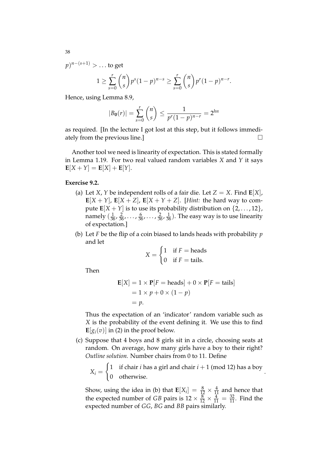*p*) *<sup>n</sup>*−(*s*+1) > . . . to get

$$
1 \geq \sum_{s=0}^r \binom{n}{s} p^s (1-p)^{n-s} \geq \sum_{s=0}^r \binom{n}{s} p^r (1-p)^{n-r}.
$$

Hence, using Lemma 8.9,

$$
|B_0(r)| = \sum_{s=0}^r \binom{n}{s} \le \frac{1}{p^r (1-p)^{n-r}} = 2^{hn}
$$

as required. [In the lecture I got lost at this step, but it follows immediately from the previous line.]

Another tool we need is linearity of expectation. This is stated formally in Lemma 1.19. For two real valued random variables *X* and *Y* it says  $\mathbf{E}[X+Y] = \mathbf{E}[X] + \mathbf{E}[Y].$ 

## **Exercise 9.2.**

- (a) Let *X*, *Y* be independent rolls of a fair die. Let  $Z = X$ . Find  $E[X]$ ,  $\mathbf{E}[X+Y]$ ,  $\mathbf{E}[X+Z]$ ,  $\mathbf{E}[X+Y+Z]$ . [*Hint:* the hard way to compute  $\mathbf{E}[X + Y]$  is to use its probability distribution on  $\{2, \ldots, 12\}$ , namely  $(\frac{1}{36}, \frac{2}{36}, \ldots, \frac{6}{36}, \ldots, \frac{2}{36}, \frac{1}{36})$ . The easy way is to use linearity of expectation.]
- (b) Let *F* be the flip of a coin biased to lands heads with probability *p* and let

$$
X = \begin{cases} 1 & \text{if } F = \text{heads} \\ 0 & \text{if } F = \text{tails.} \end{cases}
$$

Then

$$
\mathbf{E}[X] = 1 \times \mathbf{P}[F = \text{heads}] + 0 \times \mathbf{P}[F = \text{tails}]
$$
  
= 1 \times p + 0 \times (1 - p)  
= p.

Thus the expectation of an 'indicator' random variable such as *X* is the probability of the event defining it. We use this to find  $\mathbf{E}[g_i(v)]$  in (2) in the proof below.

(c) Suppose that 4 boys and 8 girls sit in a circle, choosing seats at random. On average, how many girls have a boy to their right? *Outline solution.* Number chairs from 0 to 11. Define

 $X_i =$  $\int$  1 if chair *i* has a girl and chair *i* + 1 (mod 12) has a boy 0 otherwise. .

Show, using the idea in (b) that  $\mathbf{E}[X_i] = \frac{8}{12} \times \frac{4}{11}$  and hence that the expected number of *GB* pairs is  $12 \times \frac{8}{12} \times \frac{4}{11} = \frac{32}{11}$ . Find the expected number of *GG*, *BG* and *BB* pairs similarly.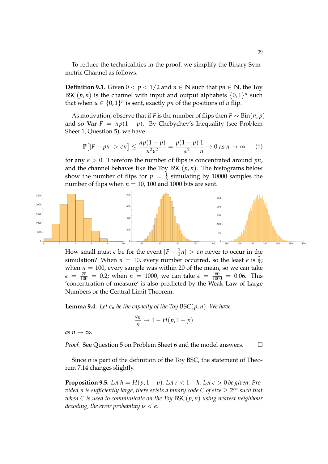To reduce the technicalities in the proof, we simplify the Binary Symmetric Channel as follows.

**Definition 9.3.** Given  $0 < p < 1/2$  and  $n \in \mathbb{N}$  such that  $pn \in \mathbb{N}$ , the Toy BSC(*p*, *n*) is the channel with input and output alphabets  $\{0, 1\}^n$  such that when  $u \in \{0,1\}^n$  is sent, exactly *pn* of the positions of *u* flip.

As motivation, observe that if *F* is the number of flips then  $F \sim Bin(n, p)$ and so **Var**  $F = np(1 - p)$ . By Chebychev's Inequality (see Problem Sheet 1, Question 5), we have

$$
\mathbf{P}\big[|F - pn| > \epsilon n\big] \le \frac{np(1-p)}{n^2 \epsilon^2} = \frac{p(1-p)}{\epsilon^2} \frac{1}{n} \to 0 \text{ as } n \to \infty \qquad (†)
$$

for any  $\epsilon > 0$ . Therefore the number of flips is concentrated around pn, and the channel behaves like the Toy  $BSC(p, n)$ . The histograms below show the number of flips for  $p = \frac{1}{3}$  simulating by 10000 samples the number of flips when  $n = 10$ , 100 and 1000 bits are sent.



How small must  $\epsilon$  be for the event  $|F - \frac{1}{3}n| > \epsilon n$  never to occur in the simulation? When  $n = 10$ , every number occurred, so the least  $\epsilon$  is  $\frac{2}{3}$ ; when  $n = 100$ , every sample was within 20 of the mean, so we can take  $\epsilon = \frac{20}{100} = 0.2$ ; when  $n = 1000$ , we can take  $\epsilon = \frac{60}{1000} = 0.06$ . This 'concentration of measure' is also predicted by the Weak Law of Large Numbers or the Central Limit Theorem.

**Lemma 9.4.** Let  $c_n$  be the capacity of the Toy BSC( $p, n$ ). We have

$$
\frac{c_n}{n} \to 1 - H(p, 1 - p)
$$

 $as n \rightarrow \infty$ .

*Proof.* See Question 5 on Problem Sheet 6 and the model answers. □

Since *n* is part of the definition of the Toy BSC, the statement of Theorem 7.14 changes slightly.

**Proposition 9.5.** Let  $h = H(p, 1-p)$ . Let  $r < 1-h$ . Let  $\epsilon > 0$  be given. Pro- $\sigma$  *vided n is sufficiently large, there exists a binary code C of size*  $\geq 2^{rn}$  *such that when C is used to communicate on the Toy* BSC(*p*, *n*) *using nearest neighbour decoding, the error probability is*  $\lt \epsilon$ *.*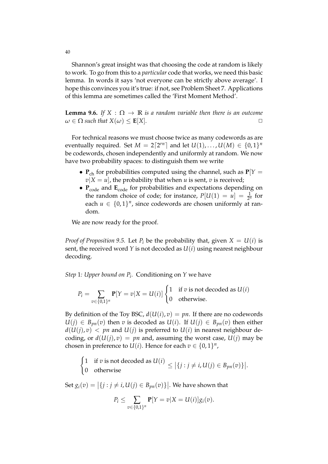Shannon's great insight was that choosing the code at random is likely to work. To go from this to a *particular* code that works, we need this basic lemma. In words it says 'not everyone can be strictly above average'. I hope this convinces you it's true: if not, see Problem Sheet 7. Applications of this lemma are sometimes called the 'First Moment Method'.

**Lemma 9.6.** *If*  $X : \Omega \to \mathbb{R}$  *is a random variable then there is an outcome*<br> $\omega \in \Omega$  such that  $X(\omega) \leq \mathbf{F}[X]$  $\omega \in \Omega$  *such that*  $X(\omega) \leq E[X]$ *.* 

For technical reasons we must choose twice as many codewords as are eventually required. Set  $M = 2\lceil 2^{rn} \rceil$  and let  $U(1), \ldots, U(M) \in \{0, 1\}^n$ be codewords, chosen independently and uniformly at random. We now have two probability spaces: to distinguish them we write

- $P_{ch}$  for probabilities computed using the channel, such as  $P[Y =$  $v|X = u$ , the probability that when *u* is sent, *v* is received;
- $P_{code}$  and  $E_{code}$  for probabilities and expectations depending on the random choice of code; for instance,  $P[U(1) = u] = \frac{1}{2^n}$  for each  $u \in \{0,1\}^n$ , since codewords are chosen uniformly at random.

We are now ready for the proof.

*Proof of Proposition 9.5.* Let  $P_i$  be the probability that, given  $X = U(i)$  is sent, the received word *Y* is not decoded as *U*(*i*) using nearest neighbour decoding.

*Step* 1*: Upper bound on P<sup>i</sup> .* Conditioning on *Y* we have

$$
P_i = \sum_{v \in \{0,1\}^n} \mathbf{P}[Y = v | X = U(i)] \begin{cases} 1 & \text{if } v \text{ is not decoded as } U(i) \\ 0 & \text{otherwise.} \end{cases}
$$

By definition of the Toy BSC,  $d(U(i), v) = pn$ . If there are no codewords *U*(*j*) ∈ *B*<sub>*pn*</sub>(*v*) then *v* is decoded as *U*(*i*). If *U*(*j*) ∈ *B*<sub>*pn*</sub>(*v*) then either  $d(U(i), v) < pn$  and  $U(i)$  is preferred to  $U(i)$  in nearest neighbour decoding, or  $d(U(j), v) = pn$  and, assuming the worst case,  $U(j)$  may be chosen in preference to  $U(i)$ . Hence for each  $v \in \{0,1\}^n$ ,

 $\int$  1 if *v* is not decoded as *U*(*i*) 0 otherwise  $0 \text{ otherwise}$   $\{j : j \neq i, U(j) \in B_{pn}(v)\}.$ 

Set  $g_i(v) = |\{j : j \neq i, U(j) \in B_{pn}(v)\}|$ . We have shown that

$$
P_i \leq \sum_{v \in \{0,1\}^n} \mathbf{P}[Y=v|X=u(i)]g_i(v).
$$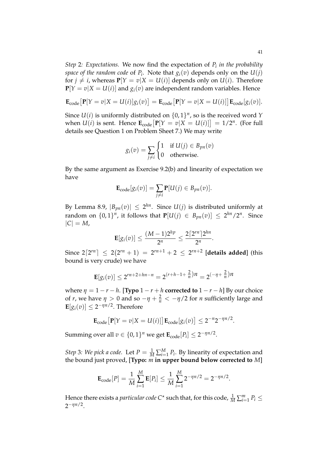*Step* 2*: Expectations.* We now find the expectation of *P<sup>i</sup> in the probability space of the random code* of  $P_i$ . Note that  $g_i(v)$  depends only on the  $U(j)$ for  $j \neq i$ , whereas  $P[Y = v | X = U(i)]$  depends only on  $U(i)$ . Therefore  $P[Y = v|X = U(i)]$  and  $g_i(v)$  are independent random variables. Hence

$$
\mathbf{E}_{code}[\mathbf{P}[Y=v|X=U(i)]g_i(v)]=\mathbf{E}_{code}[\mathbf{P}[Y=v|X=U(i)]]\mathbf{E}_{code}[g_i(v)].
$$

Since  $U(i)$  is uniformly distributed on  $\{0,1\}^n$ , so is the received word *Y* when  $U(i)$  is sent. Hence  $\mathbf{E}_{code}[\mathbf{P}[Y = v | X = U(i)]] = 1/2^n$ . (For full details see Question 1 on Problem Sheet 7.) We may write

$$
g_i(v) = \sum_{j \neq i} \begin{cases} 1 & \text{if } U(j) \in B_{pn}(v) \\ 0 & \text{otherwise.} \end{cases}
$$

By the same argument as Exercise 9.2(b) and linearity of expectation we have

$$
\mathbf{E}_{code}[g_i(v)] = \sum_{j \neq i} \mathbf{P}[U(j) \in B_{pn}(v)].
$$

By Lemma 8.9,  $|B_{pn}(v)| \leq 2^{hn}$ . Since  $U(j)$  is distributed uniformly at random on  $\{0,1\}^n$ , it follows that  $P[U(j) \in B_{pn}(v)] \leq 2^{hn}/2^n$ . Since  $|C| = M$ ,

$$
\mathbf{E}[g_i(v)] \leq \frac{(M-1)2^{hp}}{2^n} \leq \frac{2\lceil 2^{rn} \rceil 2^{hn}}{2^n}.
$$

Since  $2\lceil 2^{rn} \rceil \leq 2(2^{rn} + 1) = 2^{rn+1} + 2 \leq 2^{rn+2}$  [details added] (this bound is very crude) we have

$$
\mathbf{E}[g_i(v)] \le 2^{rn+2+hn-n} = 2^{(r+h-1+\frac{2}{n})n} = 2^{(-\eta+\frac{2}{n})n}
$$

where  $\eta = 1 - r - h$ . [**Typo**  $1 - r + h$  **corrected to**  $1 - r - h$ ] By our choice of *r*, we have  $\eta > 0$  and so  $-\eta + \frac{2}{n} < -\eta/2$  for *n* sufficiently large and  $\mathbf{E}[g_i(v)] \leq 2^{-\eta n/2}$ . Therefore

$$
\mathbf{E}_{code}\big[\mathbf{P}[Y=v|X=U(i)]\big]\mathbf{E}_{code}[g_i(v)] \leq 2^{-n}2^{-\eta n/2}.
$$

Summing over all  $v \in \{0, 1\}^n$  we get  $\mathbf{E}_{code}[P_i] \leq 2^{-\eta n/2}$ .

*Step* 3*:* We pick a code. Let  $P = \frac{1}{M} \sum_{i=1}^{M} P_i$ . By linearity of expectation and the bound just proved, [**Typo:** *m* **in upper bound below corrected to** *M*]

$$
\mathbf{E}_{code}[P] = \frac{1}{M} \sum_{i=1}^{M} \mathbf{E}[P_i] \le \frac{1}{M} \sum_{i=1}^{M} 2^{-\eta n/2} = 2^{-\eta n/2}.
$$

Hence there exists a *particular code* C<sup>\*</sup> such that, for this code,  $\frac{1}{M}\sum_{i=1}^{m}P_i \leq$  $2^{-\eta n/2}$ .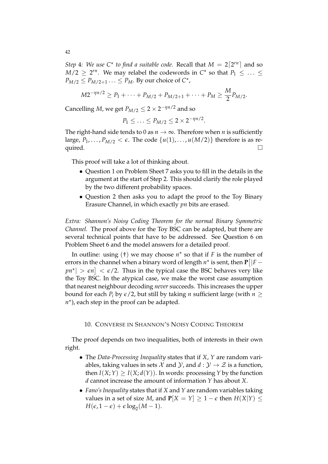*Step* 4*:* We use  $C^*$  to find a suitable code. Recall that  $M = 2\lceil 2^{rn} \rceil$  and so  $M/2 \ge 2^{rn}$ . We may relabel the codewords in  $C^*$  so that  $P_1 \le \ldots \le$  $P_{M/2} \leq P_{M/2+1} \ldots \leq P_M$ . By our choice of  $C^*$ ,

$$
M2^{-\eta n/2} \ge P_1 + \cdots + P_{M/2} + P_{M/2+1} + \cdots + P_M \ge \frac{M}{2} P_{M/2}.
$$

Cancelling *M*, we get  $P_{M/2} \leq 2 \times 2^{-\eta n/2}$  and so

$$
P_1 \leq \ldots \leq P_{M/2} \leq 2 \times 2^{-\eta n/2}.
$$

The right-hand side tends to 0 as  $n \to \infty$ . Therefore when *n* is sufficiently large,  $P_1, \ldots, P_{M/2} < \epsilon$ . The code  $\{u(1), \ldots, u(M/2)\}$  therefore is as required. quired.  $\Box$ 

This proof will take a lot of thinking about.

- Question 1 on Problem Sheet 7 asks you to fill in the details in the argument at the start of Step 2. This should clarify the role played by the two different probability spaces.
- Question 2 then asks you to adapt the proof to the Toy Binary Erasure Channel, in which exactly *pn* bits are erased.

*Extra: Shannon's Noisy Coding Theorem for the normal Binary Symmetric Channel.* The proof above for the Toy BSC can be adapted, but there are several technical points that have to be addressed. See Question 6 on Problem Sheet 6 and the model answers for a detailed proof.

In outline: using  $(t)$  we may choose  $n^*$  so that if *F* is the number of errors in the channel when a binary word of length  $n^*$  is sent, then  $P[|F$  $p n^*$   $> \epsilon n$   $] < \epsilon/2$ . Thus in the typical case the BSC behaves very like the Toy BSC. In the atypical case, we make the worst case assumption that nearest neighbour decoding *never* succeeds. This increases the upper bound for each *P<sub>i</sub>* by  $\epsilon/2$ , but still by taking *n* sufficient large (with  $n >$  $n<sup>*</sup>$ ), each step in the proof can be adapted.

### 10. CONVERSE IN SHANNON'S NOISY CODING THEOREM

The proof depends on two inequalities, both of interests in their own right.

- The *Data-Processing Inequality* states that if *X*, *Y* are random variables, taking values in sets  $\mathcal X$  and  $\mathcal Y$ , and  $d : \mathcal Y \to \mathcal Z$  is a function, then  $I(X;Y) \geq I(X; d(Y))$ . In words: processing *Y* by the function *d* cannot increase the amount of information *Y* has about *X*.
- *Fano's Inequality* states that if *X* and *Y* are random variables taking values in a set of size *M*, and  $P[X = Y] \ge 1 - \epsilon$  then  $H(X|Y) \le$  $H(\epsilon, 1-\epsilon) + \epsilon \log_2(M-1).$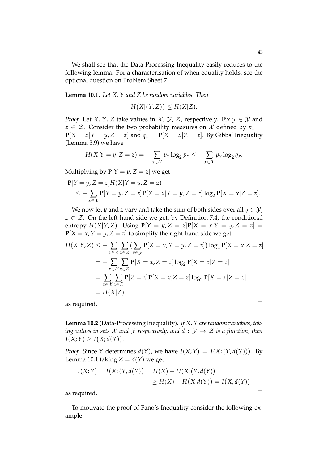We shall see that the Data-Processing Inequality easily reduces to the following lemma. For a characterisation of when equality holds, see the optional question on Problem Sheet 7.

**Lemma 10.1.** *Let X, Y and Z be random variables. Then*

$$
H(X|(Y,Z)) \le H(X|Z).
$$

*Proof.* Let *X*, *Y*, *Z* take values in *X*, *Y*, *Z*, respectively. Fix  $y \in Y$  and *z*  $\in \mathcal{Z}$ . Consider the two probability measures on  $\mathcal{X}$  defined by  $p_x =$  $P[X = x | Y = y, Z = z]$  and  $q_x = P[X = x | Z = z]$ . By Gibbs' Inequality (Lemma 3.9) we have

$$
H(X|Y=y,Z=z)=-\sum_{x\in\mathcal{X}}p_x\log_2p_x\leq-\sum_{x\in\mathcal{X}}p_x\log_2q_x.
$$

Multiplying by  $P[Y = y, Z = z]$  we get

$$
\mathbf{P}[Y = y, Z = z]H(X|Y = y, Z = z) \n\le -\sum_{x \in \mathcal{X}} \mathbf{P}[Y = y, Z = z] \mathbf{P}[X = x|Y = y, Z = z] \log_2 \mathbf{P}[X = x|Z = z].
$$

We now let *y* and *z* vary and take the sum of both sides over all  $y \in \mathcal{Y}$ ,  $z \in \mathcal{Z}$ . On the left-hand side we get, by Definition 7.4, the conditional entropy  $H(X|Y, Z)$ . Using  $P[Y = y, Z = z]P[X = x|Y = y, Z = z] =$  $P[X = x, Y = y, Z = z]$  to simplify the right-hand side we get

$$
H(X|Y,Z) \le -\sum_{x \in \mathcal{X}} \sum_{z \in \mathcal{Z}} \left( \sum_{y \in \mathcal{Y}} \mathbf{P}[X=x, Y=y, Z=z] \right) \log_2 \mathbf{P}[X=x|Z=z]
$$
  
=  $-\sum_{x \in \mathcal{X}} \sum_{z \in \mathcal{Z}} \mathbf{P}[X=x, Z=z] \log_2 \mathbf{P}[X=x|Z=z]$   
=  $\sum_{x \in \mathcal{X}} \sum_{z \in \mathcal{Z}} \mathbf{P}[Z=z] \mathbf{P}[X=x|Z=z] \log_2 \mathbf{P}[X=x|Z=z]$   
=  $H(X|Z)$ 

as required.  $\Box$ 

**Lemma 10.2** (Data-Processing Inequality)**.** *If X, Y are random variables, taking values in sets*  $X$  *and*  $Y$  *respectively, and*  $d: Y \rightarrow Z$  *is a function, then*  $I(X;Y) \geq I(X; d(Y)).$ 

*Proof.* Since *Y* determines *d*(*Y*), we have  $I(X;Y) = I(X; (Y, d(Y)))$ . By Lemma 10.1 taking  $Z = d(Y)$  we get

$$
I(X;Y) = I(X; (Y, d(Y)) = H(X) - H(X|(Y, d(Y))
$$
  
\n
$$
\geq H(X) - H(X|d(Y)) = I(X; d(Y))
$$

as required.  $\Box$ 

To motivate the proof of Fano's Inequality consider the following example.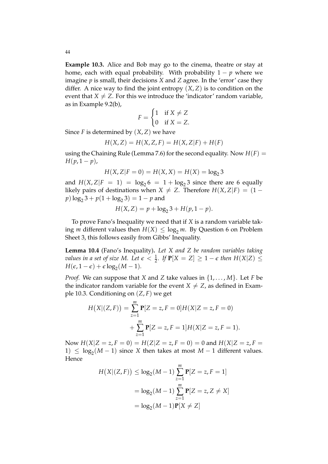**Example 10.3.** Alice and Bob may go to the cinema, theatre or stay at home, each with equal probability. With probability  $1 - p$  where we imagine *p* is small, their decisions *X* and *Z* agree. In the 'error' case they differ. A nice way to find the joint entropy  $(X, Z)$  is to condition on the event that  $X \neq Z$ . For this we introduce the 'indicator' random variable, as in Example 9.2(b),

$$
F = \begin{cases} 1 & \text{if } X \neq Z \\ 0 & \text{if } X = Z. \end{cases}
$$

Since *F* is determined by (*X*, *Z*) we have

$$
H(X, Z) = H(X, Z, F) = H(X, Z|F) + H(F)
$$

using the Chaining Rule (Lemma 7.6) for the second equality. Now  $H(F)$  = *H*( $p, 1 - p$ ),

$$
H(X, Z|F = 0) = H(X, X) = H(X) = \log_2 3
$$

and  $H(X, Z|F = 1) = log_2 6 = 1 + log_2 3$  since there are 6 equally likely pairs of destinations when  $X \neq Z$ . Therefore  $H(X, Z|F) = (1$  $p) \log_2 3 + p(1 + \log_2 3) = 1 - p$  and

$$
H(X,Z) = p + \log_2 3 + H(p, 1 - p).
$$

To prove Fano's Inequality we need that if *X* is a random variable taking *m* different values then  $H(X) \leq \log_2 m$ . By Question 6 on Problem Sheet 3, this follows easily from Gibbs' Inequality.

**Lemma 10.4** (Fano's Inequality)**.** *Let X and Z be random variables taking values in a set of size*  $M$ *. Let*  $\epsilon < \frac{1}{2}$ *. If*  $P[X = Z] \ge 1 - \epsilon$  *then*  $H(X|Z) \le$  $H(\epsilon, 1-\epsilon) + \epsilon \log_2(M-1).$ 

*Proof.* We can suppose that *X* and *Z* take values in {1, . . . , *M*}. Let *F* be the indicator random variable for the event  $X \neq Z$ , as defined in Example 10.3. Conditioning on (*Z*, *F*) we get

$$
H(X|(Z,F)) = \sum_{z=1}^{m} \mathbf{P}[Z = z, F = 0]H(X|Z = z, F = 0)
$$

$$
+ \sum_{z=1}^{m} \mathbf{P}[Z = z, F = 1]H(X|Z = z, F = 1).
$$

Now  $H(X|Z = z, F = 0) = H(Z|Z = z, F = 0) = 0$  and  $H(X|Z = z, F = 0)$ 1)  $\leq \log_2(M-1)$  since *X* then takes at most *M* − 1 different values. Hence

$$
H(X|(Z, F)) \le \log_2(M - 1) \sum_{z=1}^{m} \mathbf{P}[Z = z, F = 1]
$$
  
=  $\log_2(M - 1) \sum_{z=1}^{m} \mathbf{P}[Z = z, Z \neq X]$   
=  $\log_2(M - 1)\mathbf{P}[X \neq Z]$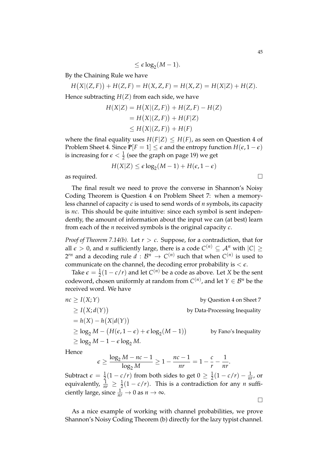$\leq \epsilon \log_2(M-1).$ 

By the Chaining Rule we have

 $H(X|(Z, F)) + H(Z, F) = H(X, Z, F) = H(X, Z) = H(X|Z) + H(Z).$ 

Hence subtracting *H*(*Z*) from each side, we have

$$
H(X|Z) = H(X|(Z, F)) + H(Z, F) - H(Z)
$$
  
=  $H(X|(Z, F)) + H(F|Z)$   
 $\leq H(X|(Z, F)) + H(F)$ 

where the final equality uses  $H(F|Z) \leq H(F)$ , as seen on Question 4 of Problem Sheet 4. Since  $P[F = 1] \leq \epsilon$  and the entropy function  $H(\epsilon, 1 - \epsilon)$ is increasing for  $\epsilon < \frac{1}{2}$  (see the graph on page 19) we get

$$
H(X|Z) \le \epsilon \log_2(M-1) + H(\epsilon, 1-\epsilon)
$$

as required.  $\Box$ 

The final result we need to prove the converse in Shannon's Noisy Coding Theorem is Question 4 on Problem Sheet 7: when a memoryless channel of capacity *c* is used to send words of *n* symbols, its capacity is *nc*. This should be quite intuitive: since each symbol is sent independently, the amount of information about the input we can (at best) learn from each of the *n* received symbols is the original capacity *c*.

*Proof of Theorem 7.14(b).* Let  $r > c$ . Suppose, for a contradiction, that for all  $\epsilon > 0$ , and *n* sufficiently large, there is a code  $C^{(n)} \subseteq \mathcal{A}^n$  with  $|C| \ge$  $2^{rn}$  and a decoding rule  $d : \mathcal{B}^n \to C^{(n)}$  such that when  $C^{(n)}$  is used to communicate on the channel, the decoding error probability is  $\lt \epsilon$ .

Take  $\epsilon = \frac{1}{2}(1 - c/r)$  and let  $C^{(n)}$  be a code as above. Let *X* be the sent codeword, chosen uniformly at random from  $C^{(n)}$ , and let  $Y \in \mathcal{B}^n$  be the received word. We have

$$
nc \ge I(X;Y) \qquad \text{by Question 4 on Sheet 7}
$$
  
\n
$$
\ge I(X; d(Y)) \qquad \text{by Data-Processing Inequality}
$$
  
\n
$$
= h(X) - h(X|d(Y))
$$
  
\n
$$
\ge \log_2 M - (H(\epsilon, 1 - \epsilon) + \epsilon \log_2(M - 1)) \qquad \text{by Fano's Inequality}
$$
  
\n
$$
\ge \log_2 M - 1 - \epsilon \log_2 M.
$$

Hence

$$
\epsilon \geq \frac{\log_2 M - nc - 1}{\log_2 M} \geq 1 - \frac{nc - 1}{nr} = 1 - \frac{c}{r} - \frac{1}{nr}.
$$

Subtract  $\epsilon = \frac{1}{2}(1 - c/r)$  from both sides to get  $0 \ge \frac{1}{2}(1 - c/r) - \frac{1}{nr}$ , or equivalently,  $\frac{1}{nr} \geq \frac{1}{2}(1 - c/r)$ . This is a contradiction for any *n* sufficiently large, since  $\frac{1}{nr} \to 0$  as  $n \to \infty$ .

As a nice example of working with channel probabilities, we prove Shannon's Noisy Coding Theorem (b) directly for the lazy typist channel.

 $\Box$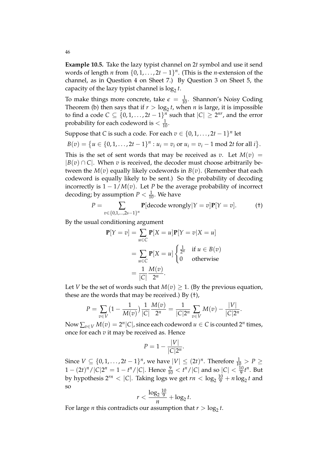**Example 10.5.** Take the lazy typist channel on 2*t* symbol and use it send words of length *n* from  $\{0, 1, \ldots, 2t - 1\}^n$ . (This is the *n*-extension of the channel, as in Question 4 on Sheet 7.) By Question 3 on Sheet 5, the capacity of the lazy typist channel is  $\log_2 t$ .

To make things more concrete, take  $\epsilon = \frac{1}{10}$ . Shannon's Noisy Coding Theorem (b) then says that if  $r > log_2 t$ , when *n* is large, it is impossible to find a code  $C \subseteq \{0, 1, ..., 2t-1\}^n$  such that  $|C| \ge 2^{nr}$ , and the error probability for each codeword is  $<\frac{1}{10}$ .

Suppose that *C* is such a code. For each  $v \in \{0, 1, ..., 2t - 1\}^n$  let

$$
B(v) = \{u \in \{0, 1, \ldots, 2t - 1\}^n : u_i = v_i \text{ or } u_i = v_i - 1 \text{ mod } 2t \text{ for all } i\}.
$$

This is the set of sent words that may be received as *v*. Let  $M(v)$  =  $|B(v) \cap C|$ . When *v* is received, the decoder must choose arbitrarily between the *M*(*v*) equally likely codewords in *B*(*v*). (Remember that each codeword is equally likely to be sent.) So the probability of decoding incorrectly is  $1 - 1/M(v)$ . Let *P* be the average probability of incorrect decoding; by assumption  $P < \frac{1}{10}$ . We have

$$
P = \sum_{v \in \{0,1,\dots,2s-1\}^n} \mathbf{P}[\text{decode wrongly}|Y=v] \mathbf{P}[Y=v]. \tag{†}
$$

By the usual conditioning argument

$$
\mathbf{P}[Y = v] = \sum_{u \in C} \mathbf{P}[X = u] \mathbf{P}[Y = v | X = u]
$$

$$
= \sum_{u \in C} \mathbf{P}[X = u] \begin{cases} \frac{1}{2^n} & \text{if } u \in B(v) \\ 0 & \text{otherwise} \end{cases}
$$

$$
= \frac{1}{|C|} \frac{M(v)}{2^n}.
$$

Let *V* be the set of words such that  $M(v) \geq 1$ . (By the previous equation, these are the words that may be received.) By (†),

$$
P = \sum_{v \in V} \left(1 - \frac{1}{M(v)}\right) \frac{1}{|C|} \frac{M(v)}{2^n} = \frac{1}{|C|2^n} \sum_{v \in V} M(v) - \frac{|V|}{|C|2^n}.
$$

Now  $\sum_{v \in V} M(v) = 2^n |C|$ , since each codeword  $u \in C$  is counted  $2^n$  times, once for each *v* it may be received as. Hence

$$
P=1-\frac{|V|}{|C|2^n}.
$$

Since  $V \subseteq \{0, 1, \ldots, 2t - 1\}^n$ , we have  $|V| \leq (2t)^n$ . Therefore  $\frac{1}{10} > P \geq$  $1 - (2t)^n / |C|2^n = 1 - t^n / |C|$ . Hence  $\frac{9}{10} < t^n / |C|$  and so  $|C| < \frac{10}{9}t^n$ . But by hypothesis  $2^{rn} < |C|$ . Taking logs we get  $rn < \log_2 \frac{10}{9} + n \log_2 t$  and so

$$
r < \frac{\log_2 \frac{10}{9}}{n} + \log_2 t.
$$

For large *n* this contradicts our assumption that  $r > log_2 t$ .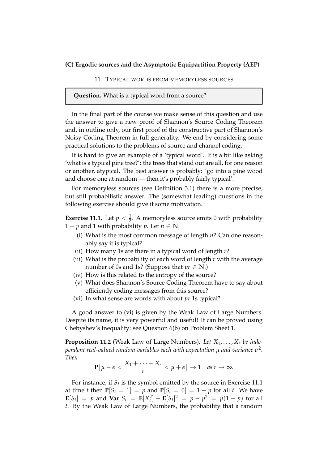## **(C) Ergodic sources and the Asymptotic Equipartition Property (AEP)**

#### 11. TYPICAL WORDS FROM MEMORYLESS SOURCES

### **Question.** What is a typical word from a source?

In the final part of the course we make sense of this question and use the answer to give a new proof of Shannon's Source Coding Theorem and, in outline only, our first proof of the constructive part of Shannon's Noisy Coding Theorem in full generality. We end by considering some practical solutions to the problems of source and channel coding.

It is hard to give an example of a 'typical word'. It is a bit like asking 'what is a typical pine tree?': the trees that stand out are all, for one reason or another, atypical. The best answer is probably: 'go into a pine wood and choose one at random — then it's probably fairly typical'.

For memoryless sources (see Definition 3.1) there is a more precise, but still probabilistic answer. The (somewhat leading) questions in the following exercise should give it some motivation.

**Exercise 11.1.** Let  $p < \frac{1}{2}$ . A memoryless source emits 0 with probability 1 – *p* and 1 with probability *p*. Let  $n \in \mathbb{N}$ .

- (i) What is the most common message of length *n*? Can one reasonably say it is typical?
- (ii) How many 1s are there in a typical word of length *r*?
- (iii) What is the probability of each word of length *r* with the average number of 0s and 1s? (Suppose that  $pr \in \mathbb{N}$ .)
- (iv) How is this related to the entropy of the source?
- (v) What does Shannon's Source Coding Theorem have to say about efficiently coding messages from this source?
- (vi) In what sense are words with about *pr* 1s typical?

A good answer to (vi) is given by the Weak Law of Large Numbers. Despite its name, it is very powerful and useful! It can be proved using Chebyshev's Inequality: see Question 6(b) on Problem Sheet 1.

**Proposition 11.2** (Weak Law of Large Numbers). Let  $X_1, \ldots, X_r$  be inde*pendent real-valued random variables each with expectation µ and variance σ* 2 *. Then*

$$
\mathbf{P}\big[\mu-\epsilon < \frac{X_1+\cdots+X_r}{r} < \mu+\epsilon\big] \to 1 \quad \text{as } r \to \infty.
$$

For instance, if  $S_t$  is the symbol emitted by the source in Exercise 11.1 at time *t* then  $P[S_t = 1] = p$  and  $P[S_t = 0] = 1 - p$  for all *t*. We have  $\mathbf{E}[S_t] = p$  and  $\mathbf{Var} S_t = \mathbf{E}[X_t^2] - \mathbf{E}[S_t]^2 = p - p^2 = p(1 - p)$  for all *t*. By the Weak Law of Large Numbers, the probability that a random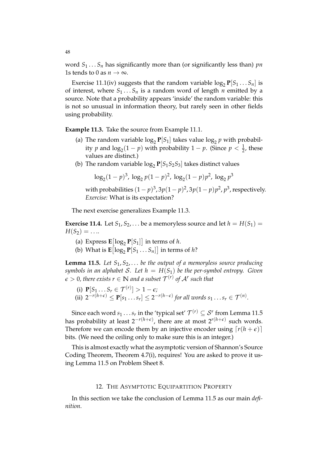word  $S_1 \ldots S_n$  has significantly more than (or significantly less than) *pn* 1s tends to 0 as  $n \to \infty$ .

Exercise 11.1(iv) suggests that the random variable  $\log_2 P[S_1 \dots S_n]$  is of interest, where  $S_1 \ldots S_n$  is a random word of length *n* emitted by a source. Note that a probability appears 'inside' the random variable: this is not so unusual in information theory, but rarely seen in other fields using probability.

**Example 11.3.** Take the source from Example 11.1.

- (a) The random variable  $\log_2 P[S_1]$  takes value  $\log_2 p$  with probability *p* and  $\log_2(1-p)$  with probability  $1-p$ . (Since  $p < \frac{1}{2}$ , these values are distinct.)
- (b) The random variable  $\log_2 P[S_1S_2S_3]$  takes distinct values

$$
\log_2(1-p)^3, \log_2 p(1-p)^2, \log_2(1-p)p^2, \log_2 p^3
$$

with probabilities  $(1-p)^3$ ,  $3p(1-p)^2$ ,  $3p(1-p)p^2$ ,  $p^3$ , respectively. *Exercise:* What is its expectation?

The next exercise generalizes Example 11.3.

**Exercise 11.4.** Let  $S_1, S_2, \ldots$  be a memoryless source and let  $h = H(S_1)$  $H(S_2) = ...$ 

- (a) Express  $\mathbf{E}[\log_2 \mathbf{P}[S_1]]$  in terms of *h*.
- (b) What is  $\mathbf{E} \left[ \log_2 \mathbf{P} [S_1 \dots S_n] \right]$  in terms of *h*?

**Lemma 11.5.** *Let S*1, *S*2, . . . *be the output of a memoryless source producing symbols in an alphabet* S. Let  $h = H(S_1)$  be the per-symbol entropy. Given  $\epsilon > 0$ , there exists  $r \in \mathbb{N}$  and a subset  $\mathcal{T}^{(r)}$  of  $\mathcal{A}^r$  such that

(i)  $P[S_1 \dots S_r \in \mathcal{T}^{(r)}] > 1 - \epsilon;$ (ii)  $2^{-r(h+\epsilon)} \leq \mathbf{P}[s_1 \dots s_r] \leq 2^{-r(h-\epsilon)}$  for all words  $s_1 \dots s_r \in \mathcal{T}^{(n)}$ .

Since each word  $s_1 \ldots s_r$  in the 'typical set'  $\mathcal{T}^{(r)} \subseteq \mathcal{S}^r$  from Lemma 11.5 has probability at least 2<sup>*−r*(*h*+*ε*), there are at most 2<sup>*r*(*h*+*ε*) such words.</sup></sup> Therefore we can encode them by an injective encoder using  $\lceil r(h + \epsilon) \rceil$ bits. (We need the ceiling only to make sure this is an integer.)

This is almost exactly what the asymptotic version of Shannon's Source Coding Theorem, Theorem 4.7(i), requires! You are asked to prove it using Lemma 11.5 on Problem Sheet 8.

### 12. THE ASYMPTOTIC EQUIPARTITION PROPERTY

In this section we take the conclusion of Lemma 11.5 as our main *definition*.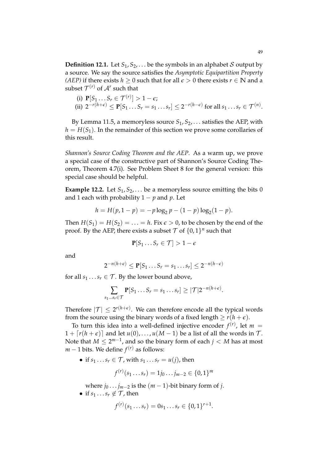**Definition 12.1.** Let  $S_1, S_2, \ldots$  be the symbols in an alphabet S output by a source. We say the source satisfies the *Asymptotic Equipartition Property (AEP)* if there exists *h* ≥ 0 such that for all  $\epsilon$  > 0 there exists *r* ∈ **N** and a subset  $\mathcal{T}^{(r)}$  of  $\mathcal{A}^r$  such that

(i) 
$$
\mathbf{P}[S_1 \dots S_r \in \mathcal{T}^{(r)}] > 1 - \epsilon;
$$
  
\n(ii)  $2^{-r(h+\epsilon)} \le \mathbf{P}[S_1 \dots S_r = s_1 \dots s_r] \le 2^{-r(h-\epsilon)}$  for all  $s_1 \dots s_r \in \mathcal{T}^{(n)}$ .

By Lemma 11.5, a memoryless source  $S_1, S_2, \ldots$  satisfies the AEP, with  $h = H(S_1)$ . In the remainder of this section we prove some corollaries of this result.

*Shannon's Source Coding Theorem and the AEP.* As a warm up, we prove a special case of the constructive part of Shannon's Source Coding Theorem, Theorem 4.7(i). See Problem Sheet 8 for the general version: this special case should be helpful.

**Example 12.2.** Let  $S_1, S_2, \ldots$  be a memoryless source emitting the bits 0 and 1 each with probability  $1 - p$  and  $p$ . Let

$$
h = H(p, 1 - p) = -p \log_2 p - (1 - p) \log_2 (1 - p).
$$

Then  $H(S_1) = H(S_2) = \ldots = h$ . Fix  $\epsilon > 0$ , to be chosen by the end of the proof. By the AEP, there exists a subset  $\mathcal T$  of  $\{0,1\}^n$  such that

$$
\mathbf{P}[S_1 \dots S_r \in \mathcal{T}] > 1 - \epsilon
$$

and

$$
2^{-n(h+\epsilon)} \leq \mathbf{P}[S_1 \dots S_r = s_1 \dots s_r] \leq 2^{-n(h-\epsilon)}
$$

for all  $s_1 \tldots s_r \tT$ . By the lower bound above,

$$
\sum_{s_1\ldots s_r\in\mathcal{T}}\mathbf{P}[S_1\ldots S_r=s_1\ldots s_r]\geq |\mathcal{T}|2^{-n(h+\epsilon)}.
$$

Therefore  $|\mathcal{T}| \leq 2^{r(h+\epsilon)}$ . We can therefore encode all the typical words from the source using the binary words of a fixed length  $\geq r(h+\epsilon)$ .

To turn this idea into a well-defined injective encoder  $f^{(r)}$ , let  $m =$  $1 + \lceil r(h + \epsilon) \rceil$  and let  $u(0), \ldots, u(M - 1)$  be a list of all the words in T. Note that  $M \leq 2^{m-1}$ , and so the binary form of each  $j < M$  has at most  $m-1$  bits. We define  $f^{(r)}$  as follows:

• if  $s_1 \tcdot s_r \tcdot \tmathcal{T}$ , with  $s_1 \tcdot s_r = u(j)$ , then

$$
f^{(r)}(s_1 \ldots s_r) = 1j_0 \ldots j_{m-2} \in \{0,1\}^m
$$

where  $j_0 \ldots j_{m-2}$  is the  $(m-1)$ -bit binary form of *j*.

• if  $s_1 \ldots s_r \notin \mathcal{T}$ , then

$$
f^{(r)}(s_1 \ldots s_r) = 0 s_1 \ldots s_r \in \{0,1\}^{r+1}.
$$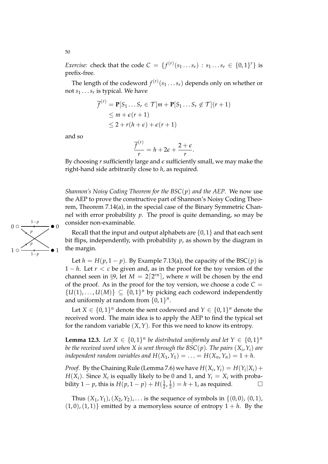*Exercise:* check that the code  $C = \{f^{(r)}(s_1 \dots s_r) : s_1 \dots s_r \in \{0,1\}^r\}$  is prefix-free.

The length of the codeword  $f^{(r)}(s_1 \ldots s_r)$  depends only on whether or not *s*<sup>1</sup> . . .*s<sup>r</sup>* is typical. We have

$$
\overline{f}^{(r)} = \mathbf{P}[S_1 \dots S_r \in \mathcal{T}]m + \mathbf{P}[S_1 \dots S_r \notin \mathcal{T}](r+1)
$$
  
\n
$$
\leq m + \epsilon(r+1)
$$
  
\n
$$
\leq 2 + r(h+\epsilon) + \epsilon(r+1)
$$

and so

$$
\frac{\overline{f}^{(r)}}{r} = h + 2\epsilon + \frac{2+\epsilon}{r}.
$$

By choosing *r* sufficiently large and *e* sufficiently small, we may make the right-hand side arbitrarily close to *h*, as required.

*Shannon's Noisy Coding Theorem for the BSC*(*p*) *and the AEP.* We now use the AEP to prove the constructive part of Shannon's Noisy Coding Theorem, Theorem 7.14(a), in the special case of the Binary Symmetric Channel with error probability *p*. The proof is quite demanding, so may be consider non-examinable.

Recall that the input and output alphabets are  $\{0,1\}$  and that each sent bit flips, independently, with probability *p*, as shown by the diagram in the margin.

Let  $h = H(p, 1 - p)$ . By Example 7.13(a), the capacity of the BSC(p) is 1 − *h*. Let *r* < *c* be given and, as in the proof for the toy version of the channel seen in  $\S 9$ , let  $M = 2\lceil 2^{rn} \rceil$ , where *n* will be chosen by the end of the proof. As in the proof for the toy version, we choose a code  $C =$  $\{U(1), \ldots, U(M)\} \subseteq \{0, 1\}^n$  by picking each codeword independently and uniformly at random from  $\{0, 1\}^n$ .

Let  $X \in \{0,1\}^n$  denote the sent codeword and  $Y \in \{0,1\}^n$  denote the received word. The main idea is to apply the AEP to find the typical set for the random variable  $(X, Y)$ . For this we need to know its entropy.

**Lemma 12.3.** Let  $X \in \{0,1\}^n$  be distributed uniformly and let  $Y \in \{0,1\}^n$ *be the received word when X is sent through the BSC*(*p*)*. The pairs* (*X<sup>i</sup>* ,*Yi*) *are independent random variables and*  $H(X_1, Y_1) = \ldots = H(X_n, Y_n) = 1 + h$ .

*Proof.* By the Chaining Rule (Lemma 7.6) we have  $H(X_i, Y_i) = H(Y_i | X_i) +$ *H*(*X*<sub>*i*</sub>). Since *X*<sub>*i*</sub> is equally likely to be 0 and 1, and  $Y_i = X_i$  with probability  $1 - p$ , this is  $H(p, 1 - p) + H(\frac{1}{2})$  $\frac{1}{2}$ ,  $\frac{1}{2}$  $\frac{1}{2}$ ) = *h* + 1, as required.

Thus  $(X_1, Y_1)$ ,  $(X_2, Y_2)$ , ... is the sequence of symbols in  $\{(0, 0), (0, 1),$  $(1, 0), (1, 1)$ } emitted by a memoryless source of entropy  $1 + h$ . By the

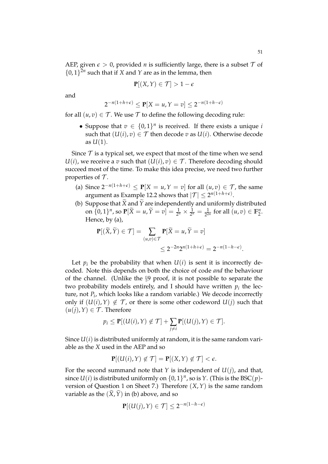AEP, given  $\epsilon > 0$ , provided *n* is sufficiently large, there is a subset  $\mathcal T$  of  $\{0, 1\}^{2n}$  such that if *X* and *Y* are as in the lemma, then

$$
\mathbf{P}[(X,Y)\in\mathcal{T}]>1-\epsilon
$$

and

$$
2^{-n(1+h+\epsilon)} \le \mathbf{P}[X=u, Y=v] \le 2^{-n(1+h-\epsilon)}
$$

for all  $(u, v) \in T$ . We use T to define the following decoding rule:

• Suppose that  $v \in \{0,1\}^n$  is received. If there exists a unique *i* such that  $(U(i), v) \in T$  then decode *v* as  $U(i)$ . Otherwise decode as  $U(1)$ .

Since  $\mathcal T$  is a typical set, we expect that most of the time when we send  $U(i)$ , we receive a *v* such that  $(U(i), v) \in \mathcal{T}$ . Therefore decoding should succeed most of the time. To make this idea precise, we need two further properties of  $\mathcal T$ .

- (a) Since  $2^{-n(1+h+\epsilon)}$  ≤ **P**[*X* = *u*, *Y* = *v*] for all  $(u, v)$  ∈ *T*, the same argument as Example 12.2 shows that  $|\mathcal{T}| \leq 2^{n(1+h+\epsilon)}$ .
- (b) Suppose that  $\widetilde{X}$  and  $\widetilde{Y}$  are independently and uniformly distributed on  $\{0, 1\}^n$ , so  $\mathbf{P}[\widetilde{X} = u, \widetilde{Y} = v] = \frac{1}{2^n} \times \frac{1}{2^n} = \frac{1}{2^{2n}}$  for all  $(u, v) \in \mathbb{F}_2^n$ . Hence, by (a),

$$
\mathbf{P}[(\widetilde{X}, \widetilde{Y}) \in \mathcal{T}] = \sum_{(u,v) \in \mathcal{T}} \mathbf{P}[\widetilde{X} = u, \widetilde{Y} = v]
$$
  

$$
\leq 2^{-2n} 2^{n(1+h+\epsilon)} = 2^{-n(1-h-\epsilon)}.
$$

Let  $p_i$  be the probability that when  $U(i)$  is sent it is incorrectly decoded. Note this depends on both the choice of code *and* the behaviour of the channel. (Unlike the §9 proof, it is not possible to separate the two probability models entirely, and I should have written  $p_i$  the lecture, not *P<sup>i</sup>* , which looks like a random variable.) We decode incorrectly only if  $(U(i), Y) \notin \mathcal{T}$ , or there is some other codeword  $U(j)$  such that  $(u(j), Y) \in \mathcal{T}$ . Therefore

$$
p_i \leq \mathbf{P}[(U(i), Y) \notin \mathcal{T}] + \sum_{j \neq i} \mathbf{P}[(U(j), Y) \in \mathcal{T}].
$$

Since  $U(i)$  is distributed uniformly at random, it is the same random variable as the *X* used in the AEP and so

$$
\mathbf{P}[(U(i),Y)\not\in\mathcal{T}]=\mathbf{P}[(X,Y)\not\in\mathcal{T}]<\epsilon.
$$

For the second summand note that *Y* is independent of *U*(*j*), and that, since  $U(i)$  is distributed uniformly on  $\{0,1\}^n$ , so is  $Y$ . (This is the BSC $(p)$ version of Question 1 on Sheet 7.) Therefore (*X*,*Y*) is the same random variable as the  $(\tilde{X}, \tilde{Y})$  in (b) above, and so

$$
\mathbf{P}[(U(j),Y)\in\mathcal{T}]\leq 2^{-n(1-h-\epsilon)}
$$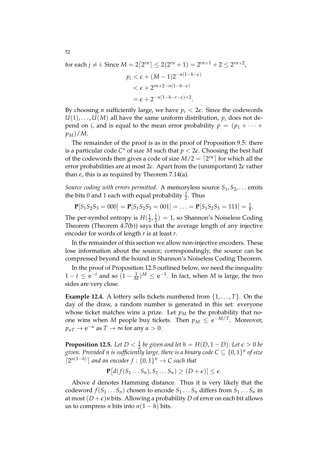for each  $j \neq i$ . Since  $M = 2\lceil 2^{rn} \rceil \leq 2(2^{rn} + 1) = 2^{rn+1} + 2 \leq 2^{rn+2}$ ,  $p_i < \epsilon + (M-1)2^{-n(1-h-\epsilon)}$  $<\epsilon+2^{rn+2-n(1-h-\epsilon)}$ 

$$
= \epsilon + 2^{-n(1-h-r-\epsilon)+2}.
$$

By choosing *n* sufficiently large, we have  $p_i < 2\epsilon$ . Since the codewords  $U(1), \ldots, U(M)$  all have the same uniform distribution,  $p_i$  does not depend on *i*, and is equal to the mean error probability  $p = (p_1 + \cdots + p_n)$  $p_M$ )/*M*.

The remainder of the proof is as in the proof of Proposition 9.5: there is a particular code  $C^{\star}$  of size M such that  $p < 2\epsilon$ . Choosing the best half of the codewords then gives a code of size  $M/2 = \lceil 2^{rn} \rceil$  for which all the error probabilities are at most 2*e*. Apart from the (unimportant) 2*e* rather than  $\epsilon$ , this is as required by Theorem 7.14(a).

*Source coding with errors permitted.* A memoryless source  $S_1, S_2, \ldots$  emits the bits 0 and 1 each with equal probability  $\frac{1}{2}$ . Thus

 $P[S_1S_2S_3 = 000] = P[S_1S_2S_3 = 001] = \ldots = P[S_1S_2S_3 = 111] = \frac{1}{8}$ .

The per-symbol entropy is  $H(\frac{1}{2})$  $\frac{1}{2}$ ,  $\frac{1}{2}$  $\frac{1}{2}$ ) = 1, so Shannon's Noiseless Coding Theorem (Theorem 4.7(b)) says that the average length of any injective encoder for words of length *r* is at least *r*.

In the remainder of this section we allow non-injective encoders. These lose information about the source; correspondingly, the source can be compressed beyond the bound in Shannon's Noiseless Coding Theorem.

In the proof of Proposition 12.5 outlined below, we need the inequality  $1 - t \le e^{-t}$  and so  $(1 - \frac{1}{M})^M \le e^{-1}$ . In fact, when *M* is large, the two sides are very close.

**Example 12.4.** A lottery sells tickets numbered from  $\{1, \ldots, T\}$ . On the day of the draw, a random number is generated in this set: everyone whose ticket matches wins a prize. Let  $p_M$  be the probability that noone wins when *M* people buy tickets. Then  $p_M \le e^{-M/T}$ . Moreover,  $p_{\alpha T} \to e^{-\alpha}$  as  $T \to \infty$  for any  $\alpha > 0$ .

**Proposition 12.5.** Let  $D < \frac{1}{2}$  be given and let  $h = H(D, 1 - D)$ . Let  $\epsilon > 0$  be given. Provided n is sufficiently large, there is a binary code  $C \subseteq \{0,1\}^n$  of size  $\lceil 2^{n(1-h)} \rceil$  and an encoder  $f : \{0,1\}^n \to C$  such that

$$
\mathbf{P}[d(f(S_1...S_n),S_1...S_n)\geq (D+\epsilon)]\leq \epsilon.
$$

Above *d* denotes Hamming distance. Thus it is very likely that the codeword  $f(S_1 \ldots S_n)$  chosen to encode  $S_1 \ldots S_n$  differs from  $S_1 \ldots S_n$  in at most  $(D+\epsilon)n$  bits. Allowing a probability *D* of error on each bit allows us to compress *n* bits into  $n(1 - h)$  bits.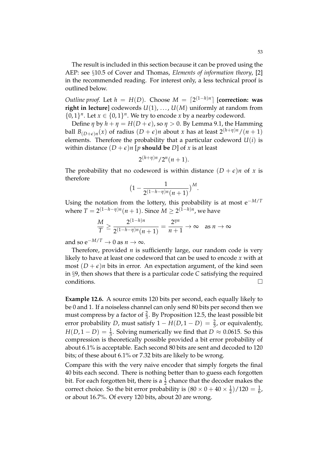The result is included in this section because it can be proved using the AEP: see §10.5 of Cover and Thomas, *Elements of information theory*, [2] in the recommended reading. For interest only, a less technical proof is outlined below.

*Outline proof.* Let  $h = H(D)$ . Choose  $M = \lceil 2^{(1-h)n} \rceil$  [correction: was **right in lecture**] codewords  $U(1)$ , ...,  $U(M)$  uniformly at random from  $\{0, 1\}^n$ . Let  $x \in \{0, 1\}^n$ . We try to encode *x* by a nearby codeword.

Define *η* by  $h + \eta = H(D + \epsilon)$ , so  $\eta > 0$ . By Lemma 9.1, the Hamming ball  $B_{(D+\epsilon)n}(x)$  of radius  $(D+\epsilon)n$  about *x* has at least  $2^{(h+\eta)n}/(n+1)$ elements. Therefore the probability that a particular codeword  $U(i)$  is within distance  $(D + \epsilon)n$  [*p* **should be** *D*] of *x* is at least

$$
2^{(h+\eta)n}/2^n(n+1).
$$

The probability that no codeword is within distance  $(D + \epsilon)n$  of *x* is therefore

$$
(1 - \frac{1}{2^{(1-h-\eta)n}(n+1)})^M.
$$

Using the notation from the lottery, this probability is at most e−*M*/*<sup>T</sup>* where  $T = 2^{(1-h-\eta)n}(n+1)$ . Since  $M \ge 2^{(1-h)n}$ , we have

$$
\frac{M}{T} \ge \frac{2^{(1-h)n}}{2^{(1-h-\eta)n}(n+1)} = \frac{2^{\eta n}}{n+1} \to \infty \quad \text{as } n \to \infty
$$

and so  $e^{-M/T} \to 0$  as  $n \to \infty$ .

Therefore, provided *n* is sufficiently large, our random code is very likely to have at least one codeword that can be used to encode *x* with at most  $(D + \epsilon)n$  bits in error. An expectation argument, of the kind seen in §9, then shows that there is a particular code *C* satisfying the required conditions. conditions.

**Example 12.6.** A source emits 120 bits per second, each equally likely to be 0 and 1. If a noiseless channel can only send 80 bits per second then we must compress by a factor of  $\frac{2}{3}$ . By Proposition 12.5, the least possible bit error probability *D*, must satisfy  $1 - H(D, 1 - D) = \frac{2}{3}$ , or equivalently,  $H(D, 1-D) = \frac{1}{3}$ . Solving numerically we find that  $D \approx 0.0615$ . So this compression is theoretically possible provided a bit error probability of about 6.1% is acceptable. Each second 80 bits are sent and decoded to 120 bits; of these about 6.1% or 7.32 bits are likely to be wrong.

Compare this with the very naive encoder that simply forgets the final 40 bits each second. There is nothing better than to guess each forgotten bit. For each forgotten bit, there is a  $\frac{1}{2}$  chance that the decoder makes the correct choice. So the bit error probability is  $(80 \times 0 + 40 \times \frac{1}{2})/120 = \frac{1}{6}$ , or about 16.7%. Of every 120 bits, about 20 are wrong.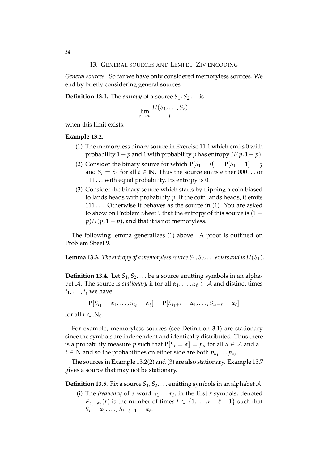*General sources.* So far we have only considered memoryless sources. We end by briefly considering general sources.

**Definition 13.1.** The *entropy* of a source  $S_1$ ,  $S_2$ ... is

$$
\lim_{r\to\infty}\frac{H(S_1,\ldots,S_r)}{r}
$$

when this limit exists.

## **Example 13.2.**

- (1) The memoryless binary source in Exercise 11.1 which emits 0 with probability 1 – *p* and 1 with probability *p* has entropy  $H(p, 1-p)$ .
- (2) Consider the binary source for which  $P[S_1 = 0] = P[S_1 = 1] = \frac{1}{2}$ and  $S_t = S_1$  for all  $t \in \mathbb{N}$ . Thus the source emits either 000... or 111 ... with equal probability. Its entropy is 0.
- (3) Consider the binary source which starts by flipping a coin biased to lands heads with probability *p*. If the coin lands heads, it emits 111 .... Otherwise it behaves as the source in (1). You are asked to show on Problem Sheet 9 that the entropy of this source is  $(1$  $p$ )*H*( $p$ , 1 −  $p$ ), and that it is not memoryless.

The following lemma generalizes (1) above. A proof is outlined on Problem Sheet 9.

**Lemma 13.3.** *The entropy of a memoryless source*  $S_1$ ,  $S_2$ , . . . *exists and is*  $H(S_1)$ *.* 

**Definition 13.4.** Let  $S_1, S_2, \ldots$  be a source emitting symbols in an alphabet A. The source is *stationary* if for all  $\alpha_1, \ldots, \alpha_\ell \in A$  and distinct times  $t_1, \ldots, t_\ell$  we have

$$
\mathbf{P}[S_{t_1} = \alpha_1, ..., S_{t_\ell} = \alpha_\ell] = \mathbf{P}[S_{t_1+r} = \alpha_1, ..., S_{t_\ell+r} = \alpha_\ell]
$$

for all  $r \in \mathbb{N}_0$ .

For example, memoryless sources (see Definition 3.1) are stationary since the symbols are independent and identically distributed. Thus there is a probability measure *p* such that  $P[S_t = \alpha] = p_\alpha$  for all  $\alpha \in A$  and all  $t \in \mathbb{N}$  and so the probabilities on either side are both  $p_{\alpha_1} \dots p_{\alpha_\ell}$ .

The sources in Example 13.2(2) and (3) are also stationary. Example 13.7 gives a source that may not be stationary.

**Definition 13.5.** Fix a source  $S_1, S_2, \ldots$  emitting symbols in an alphabet A.

(i) The *frequency* of a word  $\alpha_1 \dots \alpha_\ell$ , in the first *r* symbols, denoted  $F_{\alpha_1...\alpha_\ell}(r)$  is the number of times  $t \in \{1, \ldots, r - \ell + 1\}$  such that  $S_t = \alpha_1, \ldots, S_{t+\ell-1} = \alpha_{\ell}.$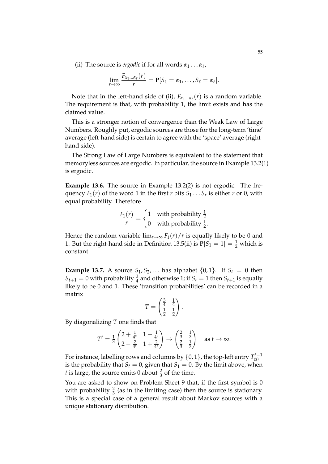(ii) The source is *ergodic* if for all words  $\alpha_1 \dots \alpha_\ell$ ,

$$
\lim_{r\to\infty}\frac{F_{\alpha_1...\alpha_\ell}(r)}{r}=\mathbf{P}[S_1=\alpha_1,\ldots,S_\ell=\alpha_\ell].
$$

Note that in the left-hand side of (ii),  $F_{\alpha_1...\alpha_\ell}(r)$  is a random variable. The requirement is that, with probability 1, the limit exists and has the claimed value.

This is a stronger notion of convergence than the Weak Law of Large Numbers. Roughly put, ergodic sources are those for the long-term 'time' average (left-hand side) is certain to agree with the 'space' average (righthand side).

The Strong Law of Large Numbers is equivalent to the statement that memoryless sources are ergodic. In particular, the source in Example 13.2(1) is ergodic.

**Example 13.6.** The source in Example 13.2(2) is not ergodic. The frequency  $F_1(r)$  of the word 1 in the first *r* bits  $S_1 \ldots S_r$  is either *r* or 0, with equal probability. Therefore

$$
\frac{F_1(r)}{r} = \begin{cases} 1 & \text{with probability } \frac{1}{2} \\ 0 & \text{with probability } \frac{1}{2}. \end{cases}
$$

Hence the random variable  $\lim_{r\to\infty} F_1(r)/r$  is equally likely to be 0 and 1. But the right-hand side in Definition 13.5(ii) is  $P[S_1 = 1] = \frac{1}{2}$  which is constant.

**Example 13.7.** A source  $S_1, S_2, \ldots$  has alphabet  $\{0, 1\}$ . If  $S_t = 0$  then  $S_{t+1} = 0$  with probability  $\frac{3}{4}$  and otherwise 1; if  $S_t = 1$  then  $S_{t+1}$  is equally likely to be 0 and 1. These 'transition probabilities' can be recorded in a matrix

$$
T = \begin{pmatrix} \frac{3}{4} & \frac{1}{4} \\ \frac{1}{2} & \frac{1}{2} \end{pmatrix}.
$$

By diagonalizing *T* one finds that

$$
T^{t} = \frac{1}{3} \begin{pmatrix} 2 + \frac{1}{4^{5}} & 1 - \frac{1}{4^{5}} \\ 2 - \frac{2}{4^{5}} & 1 + \frac{2}{4^{5}} \end{pmatrix} \rightarrow \begin{pmatrix} \frac{2}{3} & \frac{1}{3} \\ \frac{2}{3} & \frac{1}{3} \end{pmatrix} \text{ as } t \rightarrow \infty.
$$

For instance, labelling rows and columns by  $\{0,1\}$ , the top-left entry  $T^{t-1}_{00}$ is the probability that  $S_t = 0$ , given that  $S_1 = 0$ . By the limit above, when *t* is large, the source emits 0 about  $\frac{2}{3}$  of the time.

You are asked to show on Problem Sheet 9 that, if the first symbol is 0 with probability  $\frac{2}{3}$  (as in the limiting case) then the source is stationary. This is a special case of a general result about Markov sources with a unique stationary distribution.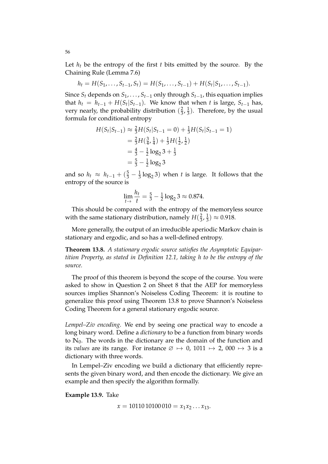Let  $h_t$  be the entropy of the first  $t$  bits emitted by the source. By the Chaining Rule (Lemma 7.6)

$$
h_t = H(S_1, \ldots, S_{t-1}, S_t) = H(S_1, \ldots, S_{t-1}) + H(S_t|S_1, \ldots, S_{t-1}).
$$

Since  $S_t$  depends on  $S_1, \ldots, S_{t-1}$  only through  $S_{t-1}$ , this equation implies that  $h_t = h_{t-1} + H(S_t|S_{t-1})$ . We know that when *t* is large,  $S_{t-1}$  has, very nearly, the probability distribution  $(\frac{2}{3})$  $\frac{2}{3}, \frac{1}{3}$  $\frac{1}{3}$ ). Therefore, by the usual formula for conditional entropy

$$
H(S_t|S_{t-1}) \approx \frac{2}{3}H(S_t|S_{t-1} = 0) + \frac{1}{3}H(S_t|S_{t-1} = 1)
$$
  
=  $\frac{2}{3}H(\frac{3}{4}, \frac{1}{4}) + \frac{1}{3}H(\frac{1}{2}, \frac{1}{2})$   
=  $\frac{4}{3} - \frac{1}{2}\log_2 3 + \frac{1}{3}$   
=  $\frac{5}{3} - \frac{1}{2}\log_2 3$ 

and so  $h_t \approx h_{t-1} + (\frac{5}{3} - \frac{1}{3} \log_2 3)$  when *t* is large. It follows that the entropy of the source is

$$
\lim_{t \to} \frac{h_t}{t} = \frac{5}{3} - \frac{1}{2} \log_2 3 \approx 0.874.
$$

This should be compared with the entropy of the memoryless source with the same stationary distribution, namely  $H(\frac{2}{3})$  $\frac{2}{3}, \frac{1}{3}$  $(\frac{1}{3}) \approx 0.918.$ 

More generally, the output of an irreducible aperiodic Markov chain is stationary and ergodic, and so has a well-defined entropy.

**Theorem 13.8.** *A stationary ergodic source satisfies the Asymptotic Equipartition Property, as stated in Definition 12.1, taking h to be the entropy of the source.*

The proof of this theorem is beyond the scope of the course. You were asked to show in Question 2 on Sheet 8 that the AEP for memoryless sources implies Shannon's Noiseless Coding Theorem: it is routine to generalize this proof using Theorem 13.8 to prove Shannon's Noiseless Coding Theorem for a general stationary ergodic source.

*Lempel–Ziv encoding.* We end by seeing one practical way to encode a long binary word. Define a *dictionary* to be a function from binary words to  $\mathbb{N}_0$ . The words in the dictionary are the domain of the function and its *values* are its range. For instance  $\varnothing \mapsto 0$ , 1011  $\mapsto 2$ , 000  $\mapsto 3$  is a dictionary with three words.

In Lempel–Ziv encoding we build a dictionary that efficiently represents the given binary word, and then encode the dictionary. We give an example and then specify the algorithm formally.

**Example 13.9.** Take

 $x = 1011010100010 = x_1x_2...x_{13}$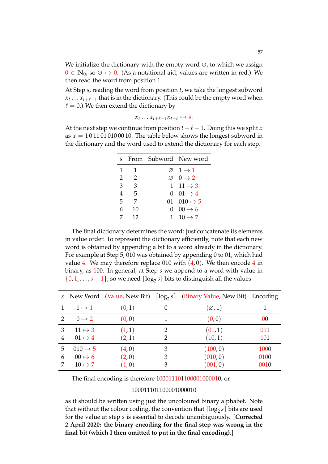We initialize the dictionary with the empty word  $\varnothing$ , to which we assign  $0 \in \mathbb{N}_0$ , so  $\emptyset \mapsto 0$ . (As a notational aid, values are written in red.) We then read the word from position 1.

At Step *s*, reading the word from position *t*, we take the longest subword  $x_t \ldots x_{t+\ell-1}$  that is in the dictionary. (This could be the empty word when  $\ell = 0$ .) We then extend the dictionary by

$$
x_t \dots x_{t+\ell-1}x_{t+\ell} \mapsto s.
$$

At the next step we continue from position  $t + \ell + 1$ . Doing this we split *x* as  $x = 1011010100010$ . The table below shows the longest subword in the dictionary and the word used to extend the dictionary for each step.

|                 |                         | s From Subword New word     |
|-----------------|-------------------------|-----------------------------|
| 1               | $\overline{1}$          | $\varnothing$ 1 $\mapsto$ 1 |
|                 | 2 2                     | $\varnothing$ 0 $\mapsto$ 2 |
| 3               | $\overline{\mathbf{3}}$ | 1 11 $\mapsto$ 3            |
| $\overline{4}$  | $5\overline{)}$         | $0 \quad 01 \mapsto 4$      |
| $5\overline{)}$ | 7                       | 01 010 $\mapsto$ 5          |
| 6               | 10                      | $0 \quad 00 \mapsto 6$      |
|                 | 12                      | 1 10 $\mapsto$ 7            |

The final dictionary determines the word: just concatenate its elements in value order. To represent the dictionary efficiently, note that each new word is obtained by appending a bit to a word already in the dictionary. For example at Step 5, 010 was obtained by appending 0 to 01, which had value 4. We may therefore replace 010 with  $(4, 0)$ . We then encode 4 in binary, as 100. In general, at Step *s* we append to a word with value in  $\{0, 1, \ldots, s - 1\}$ , so we need  $\lceil \log_2 s \rceil$  bits to distinguish all the values.

|               |                                  | s New Word (Value, New Bit) $\lceil \log_2 s \rceil$ |          | (Binary Value, New Bit) Encoding |            |
|---------------|----------------------------------|------------------------------------------------------|----------|----------------------------------|------------|
|               | $1 \mapsto 1$                    | (0,1)                                                | $\theta$ | $(\varnothing,1)$                |            |
| $\mathcal{P}$ | $0 \mapsto 2$                    | (0, 0)                                               |          | (0,0)                            | 00         |
| 3<br>4        | $11 \mapsto 3$<br>$01 \mapsto 4$ | (1, 1)<br>(2,1)                                      | 2<br>2   | (01, 1)<br>(10, 1)               | 011<br>101 |
| 5             | $010 \mapsto 5$                  | (4,0)                                                | 3        | (100, 0)                         | 1000       |
| 6             | $00 \mapsto 6$                   | (2,0)                                                | 3        | (010, 0)                         | 0100       |
|               | $10 \mapsto 7$                   | (1,0)                                                | 3        | (001, 0)                         | 0010       |

The final encoding is therefore 100011101100001000010, or

## 100011101100001000010

as it should be written using just the uncoloured binary alphabet. Note that without the colour coding, the convention that  $\lceil \log_2 s \rceil$  bits are used for the value at step *s* is essential to decode unambiguously. [**Corrected 2 April 2020: the binary encoding for the final step was wrong in the final bit (which I then omitted to put in the final encoding).**]